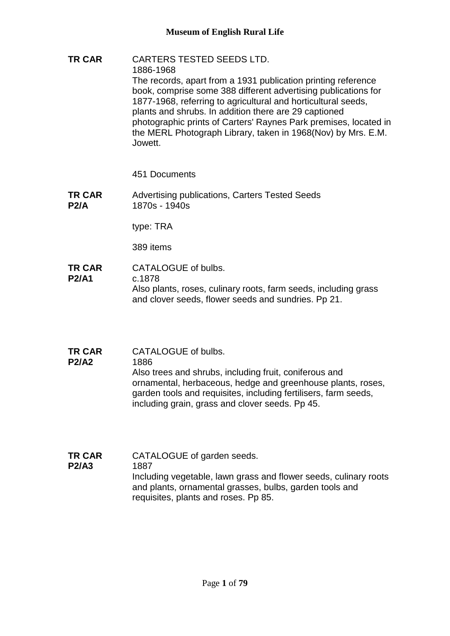**TR CAR** CARTERS TESTED SEEDS LTD. 1886-1968 The records, apart from a 1931 publication printing reference book, comprise some 388 different advertising publications for 1877-1968, referring to agricultural and horticultural seeds, plants and shrubs. In addition there are 29 captioned photographic prints of Carters' Raynes Park premises, located in the MERL Photograph Library, taken in 1968(Nov) by Mrs. E.M. Jowett.

451 Documents

**TR CAR P2/A** Advertising publications, Carters Tested Seeds 1870s - 1940s

type: TRA

389 items

- **TR CAR P2/A1** CATALOGUE of bulbs. c.1878 Also plants, roses, culinary roots, farm seeds, including grass and clover seeds, flower seeds and sundries. Pp 21.
- **TR CAR**  CATALOGUE of bulbs.
- **P2/A2** 1886 Also trees and shrubs, including fruit, coniferous and ornamental, herbaceous, hedge and greenhouse plants, roses, garden tools and requisites, including fertilisers, farm seeds, including grain, grass and clover seeds. Pp 45.
- **TR CAR P2/A3** CATALOGUE of garden seeds. 1887 Including vegetable, lawn grass and flower seeds, culinary roots and plants, ornamental grasses, bulbs, garden tools and requisites, plants and roses. Pp 85.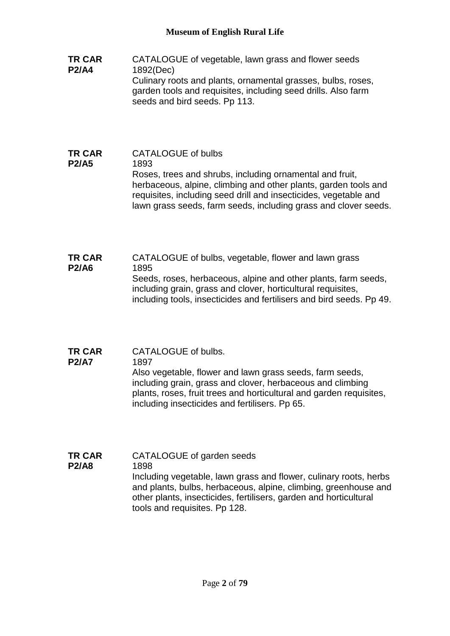- **TR CAR P2/A4** CATALOGUE of vegetable, lawn grass and flower seeds 1892(Dec) Culinary roots and plants, ornamental grasses, bulbs, roses, garden tools and requisites, including seed drills. Also farm seeds and bird seeds. Pp 113.
- **TR CAR P2/A5** CATALOGUE of bulbs 1893 Roses, trees and shrubs, including ornamental and fruit, herbaceous, alpine, climbing and other plants, garden tools and requisites, including seed drill and insecticides, vegetable and lawn grass seeds, farm seeds, including grass and clover seeds.
- **TR CAR P2/A6** CATALOGUE of bulbs, vegetable, flower and lawn grass 1895 Seeds, roses, herbaceous, alpine and other plants, farm seeds, including grain, grass and clover, horticultural requisites, including tools, insecticides and fertilisers and bird seeds. Pp 49.
- **TR CAR P2/A7** CATALOGUE of bulbs. 1897 Also vegetable, flower and lawn grass seeds, farm seeds, including grain, grass and clover, herbaceous and climbing plants, roses, fruit trees and horticultural and garden requisites, including insecticides and fertilisers. Pp 65.
- **TR CAR P2/A8** CATALOGUE of garden seeds 1898 Including vegetable, lawn grass and flower, culinary roots, herbs and plants, bulbs, herbaceous, alpine, climbing, greenhouse and other plants, insecticides, fertilisers, garden and horticultural tools and requisites. Pp 128.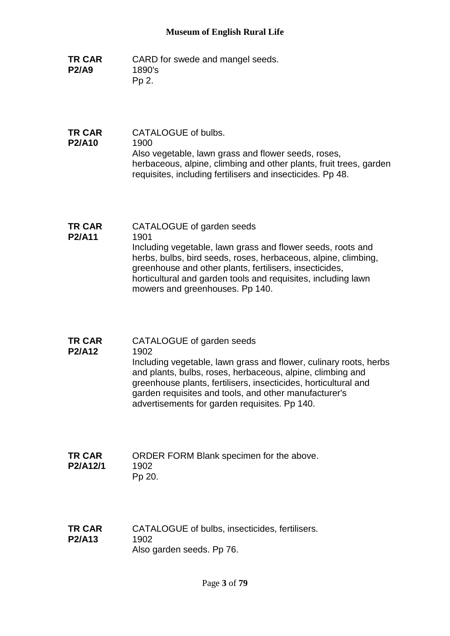- **TR CAR P2/A9** CARD for swede and mangel seeds. 1890's Pp 2.
- **TR CAR P2/A10** CATALOGUE of bulbs. 1900 Also vegetable, lawn grass and flower seeds, roses, herbaceous, alpine, climbing and other plants, fruit trees, garden requisites, including fertilisers and insecticides. Pp 48.
- **TR CAR P2/A11** CATALOGUE of garden seeds 1901 Including vegetable, lawn grass and flower seeds, roots and herbs, bulbs, bird seeds, roses, herbaceous, alpine, climbing, greenhouse and other plants, fertilisers, insecticides, horticultural and garden tools and requisites, including lawn mowers and greenhouses. Pp 140.
- **TR CAR P2/A12** CATALOGUE of garden seeds 1902 Including vegetable, lawn grass and flower, culinary roots, herbs

and plants, bulbs, roses, herbaceous, alpine, climbing and greenhouse plants, fertilisers, insecticides, horticultural and garden requisites and tools, and other manufacturer's advertisements for garden requisites. Pp 140.

**TR CAR P2/A12/1** ORDER FORM Blank specimen for the above. 1902 Pp 20.

**TR CAR P2/A13** CATALOGUE of bulbs, insecticides, fertilisers. 1902 Also garden seeds. Pp 76.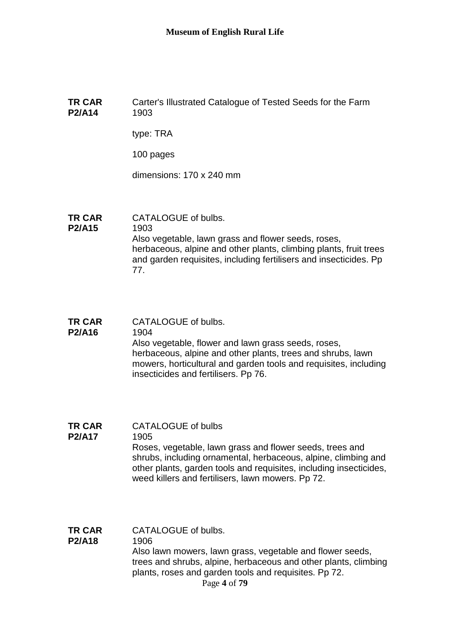#### **TR CAR P2/A14** Carter's Illustrated Catalogue of Tested Seeds for the Farm 1903

type: TRA

100 pages

dimensions: 170 x 240 mm

- **TR CAR**  CATALOGUE of bulbs.
- **P2/A15** 1903 Also vegetable, lawn grass and flower seeds, roses, herbaceous, alpine and other plants, climbing plants, fruit trees and garden requisites, including fertilisers and insecticides. Pp 77.
- **TR CAR**  CATALOGUE of bulbs.

#### **P2/A16** 1904 Also vegetable, flower and lawn grass seeds, roses, herbaceous, alpine and other plants, trees and shrubs, lawn mowers, horticultural and garden tools and requisites, including insecticides and fertilisers. Pp 76.

- **TR CAR**  CATALOGUE of bulbs
- **P2/A17** 1905 Roses, vegetable, lawn grass and flower seeds, trees and shrubs, including ornamental, herbaceous, alpine, climbing and other plants, garden tools and requisites, including insecticides, weed killers and fertilisers, lawn mowers. Pp 72.
- Page **4** of **79 TR CAR P2/A18** CATALOGUE of bulbs. 1906 Also lawn mowers, lawn grass, vegetable and flower seeds, trees and shrubs, alpine, herbaceous and other plants, climbing plants, roses and garden tools and requisites. Pp 72.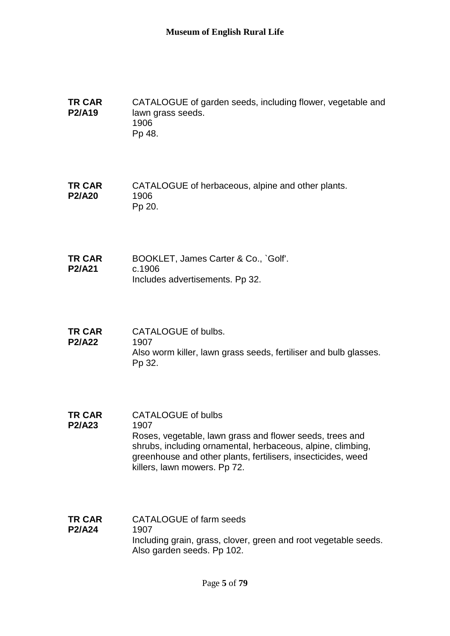**TR CAR P2/A19** CATALOGUE of garden seeds, including flower, vegetable and lawn grass seeds. 1906 Pp 48.

**TR CAR P2/A20** CATALOGUE of herbaceous, alpine and other plants. 1906 Pp 20.

**TR CAR P2/A21** BOOKLET, James Carter & Co., `Golf'. c.1906 Includes advertisements. Pp 32.

- **TR CAR P2/A22** CATALOGUE of bulbs. 1907 Also worm killer, lawn grass seeds, fertiliser and bulb glasses. Pp 32.
- **TR CAR P2/A23** CATALOGUE of bulbs 1907 Roses, vegetable, lawn grass and flower seeds, trees and shrubs, including ornamental, herbaceous, alpine, climbing, greenhouse and other plants, fertilisers, insecticides, weed killers, lawn mowers. Pp 72.
- **TR CAR P2/A24** CATALOGUE of farm seeds 1907 Including grain, grass, clover, green and root vegetable seeds. Also garden seeds. Pp 102.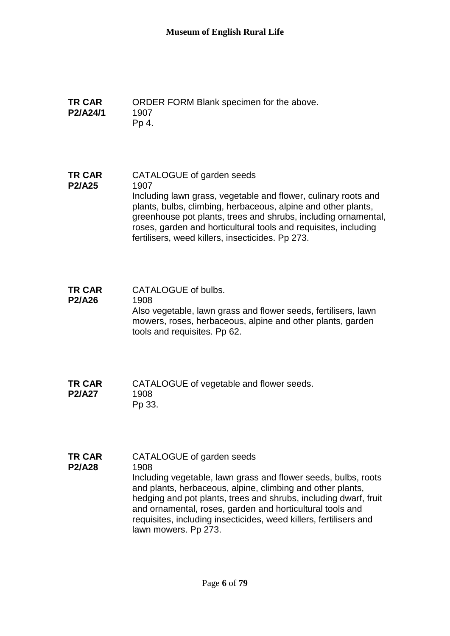**TR CAR P2/A24/1** ORDER FORM Blank specimen for the above. 1907 Pp 4.

**TR CAR P2/A25** CATALOGUE of garden seeds 1907 Including lawn grass, vegetable and flower, culinary roots and plants, bulbs, climbing, herbaceous, alpine and other plants, greenhouse pot plants, trees and shrubs, including ornamental, roses, garden and horticultural tools and requisites, including fertilisers, weed killers, insecticides. Pp 273.

- **TR CAR P2/A26** CATALOGUE of bulbs. 1908 Also vegetable, lawn grass and flower seeds, fertilisers, lawn mowers, roses, herbaceous, alpine and other plants, garden tools and requisites. Pp 62.
- **TR CAR P2/A27** CATALOGUE of vegetable and flower seeds. 1908 Pp 33.
- **TR CAR P2/A28** CATALOGUE of garden seeds 1908 Including vegetable, lawn grass and flower seeds, bulbs, roots and plants, herbaceous, alpine, climbing and other plants, hedging and pot plants, trees and shrubs, including dwarf, fruit and ornamental, roses, garden and horticultural tools and requisites, including insecticides, weed killers, fertilisers and lawn mowers. Pp 273.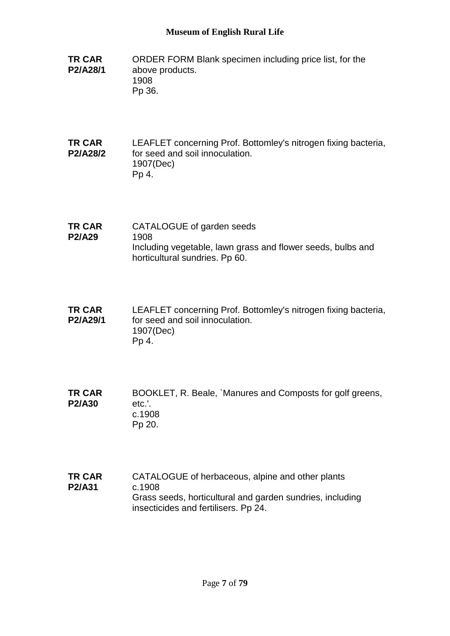- **TR CAR P2/A28/1** ORDER FORM Blank specimen including price list, for the above products. 1908 Pp 36.
- **TR CAR P2/A28/2** LEAFLET concerning Prof. Bottomley's nitrogen fixing bacteria, for seed and soil innoculation. 1907(Dec) Pp 4.
- **TR CAR P2/A29** CATALOGUE of garden seeds 1908 Including vegetable, lawn grass and flower seeds, bulbs and horticultural sundries. Pp 60.
- **TR CAR P2/A29/1** LEAFLET concerning Prof. Bottomley's nitrogen fixing bacteria, for seed and soil innoculation. 1907(Dec) Pp 4.
- **TR CAR P2/A30** BOOKLET, R. Beale, `Manures and Composts for golf greens, etc.'. c.1908 Pp 20.
- **TR CAR P2/A31** CATALOGUE of herbaceous, alpine and other plants c.1908 Grass seeds, horticultural and garden sundries, including insecticides and fertilisers. Pp 24.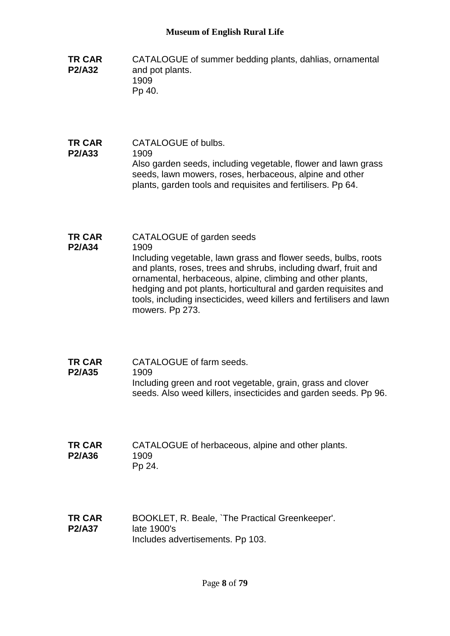- **TR CAR P2/A32** CATALOGUE of summer bedding plants, dahlias, ornamental and pot plants. 1909 Pp 40.
- **TR CAR P2/A33** CATALOGUE of bulbs. 1909 Also garden seeds, including vegetable, flower and lawn grass seeds, lawn mowers, roses, herbaceous, alpine and other plants, garden tools and requisites and fertilisers. Pp 64.

#### **TR CAR P2/A34** CATALOGUE of garden seeds 1909 Including vegetable, lawn grass and flower seeds, bulbs, roots and plants, roses, trees and shrubs, including dwarf, fruit and ornamental, herbaceous, alpine, climbing and other plants, hedging and pot plants, horticultural and garden requisites and tools, including insecticides, weed killers and fertilisers and lawn mowers. Pp 273.

- **TR CAR P2/A35** CATALOGUE of farm seeds. 1909 Including green and root vegetable, grain, grass and clover seeds. Also weed killers, insecticides and garden seeds. Pp 96.
- **TR CAR P2/A36** CATALOGUE of herbaceous, alpine and other plants. 1909 Pp 24.
- **TR CAR P2/A37** BOOKLET, R. Beale, `The Practical Greenkeeper'. late 1900's Includes advertisements. Pp 103.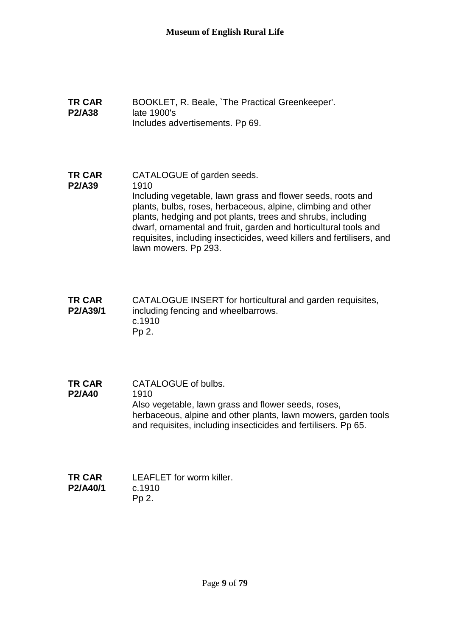- **TR CAR P2/A38** BOOKLET, R. Beale, `The Practical Greenkeeper'. late 1900's Includes advertisements. Pp 69.
- **TR CAR P2/A39** CATALOGUE of garden seeds. 1910 Including vegetable, lawn grass and flower seeds, roots and plants, bulbs, roses, herbaceous, alpine, climbing and other plants, hedging and pot plants, trees and shrubs, including dwarf, ornamental and fruit, garden and horticultural tools and requisites, including insecticides, weed killers and fertilisers, and lawn mowers. Pp 293.
- **TR CAR P2/A39/1** CATALOGUE INSERT for horticultural and garden requisites, including fencing and wheelbarrows. c.1910 Pp 2.
- **TR CAR P2/A40** CATALOGUE of bulbs. 1910 Also vegetable, lawn grass and flower seeds, roses, herbaceous, alpine and other plants, lawn mowers, garden tools and requisites, including insecticides and fertilisers. Pp 65.
- **TR CAR P2/A40/1** LEAFLET for worm killer. c.1910 Pp 2.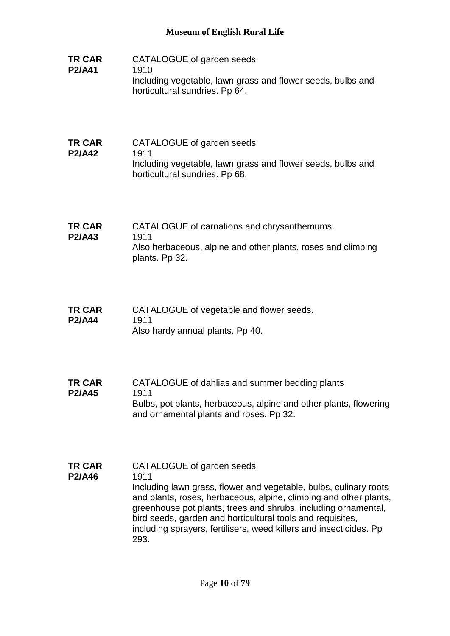- **TR CAR P2/A41** CATALOGUE of garden seeds 1910 Including vegetable, lawn grass and flower seeds, bulbs and horticultural sundries. Pp 64.
- **TR CAR P2/A42** CATALOGUE of garden seeds 1911 Including vegetable, lawn grass and flower seeds, bulbs and horticultural sundries. Pp 68.
- **TR CAR P2/A43** CATALOGUE of carnations and chrysanthemums. 1911 Also herbaceous, alpine and other plants, roses and climbing plants. Pp 32.
- **TR CAR P2/A44** CATALOGUE of vegetable and flower seeds. 1911 Also hardy annual plants. Pp 40.
- **TR CAR P2/A45** CATALOGUE of dahlias and summer bedding plants 1911 Bulbs, pot plants, herbaceous, alpine and other plants, flowering and ornamental plants and roses. Pp 32.
- **TR CAR P2/A46** CATALOGUE of garden seeds 1911 Including lawn grass, flower and vegetable, bulbs, culinary roots and plants, roses, herbaceous, alpine, climbing and other plants, greenhouse pot plants, trees and shrubs, including ornamental, bird seeds, garden and horticultural tools and requisites, including sprayers, fertilisers, weed killers and insecticides. Pp 293.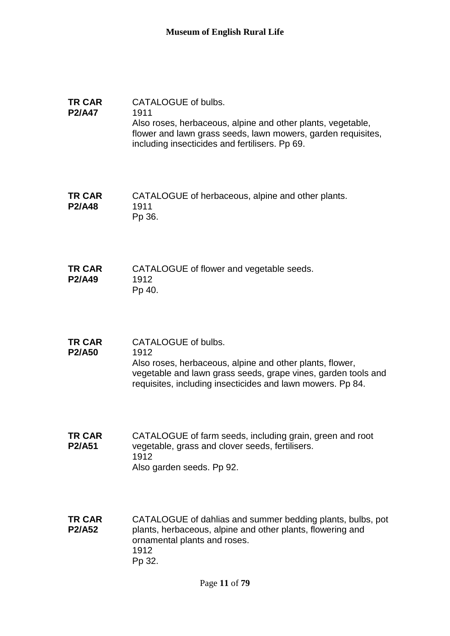- **TR CAR P2/A47** CATALOGUE of bulbs. 1911 Also roses, herbaceous, alpine and other plants, vegetable, flower and lawn grass seeds, lawn mowers, garden requisites, including insecticides and fertilisers. Pp 69.
- **TR CAR P2/A48** CATALOGUE of herbaceous, alpine and other plants. 1911 Pp 36.
- **TR CAR P2/A49** CATALOGUE of flower and vegetable seeds. 1912 Pp 40.
- **TR CAR P2/A50** CATALOGUE of bulbs. 1912 Also roses, herbaceous, alpine and other plants, flower, vegetable and lawn grass seeds, grape vines, garden tools and requisites, including insecticides and lawn mowers. Pp 84.
- **TR CAR P2/A51** CATALOGUE of farm seeds, including grain, green and root vegetable, grass and clover seeds, fertilisers. 1912 Also garden seeds. Pp 92.
- **TR CAR P2/A52** CATALOGUE of dahlias and summer bedding plants, bulbs, pot plants, herbaceous, alpine and other plants, flowering and ornamental plants and roses. 1912 Pp 32.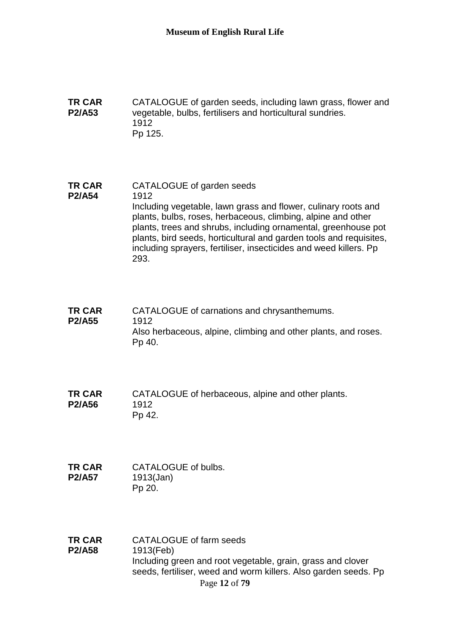**TR CAR P2/A53** CATALOGUE of garden seeds, including lawn grass, flower and vegetable, bulbs, fertilisers and horticultural sundries. 1912 Pp 125.

**TR CAR P2/A54** CATALOGUE of garden seeds 1912 Including vegetable, lawn grass and flower, culinary roots and plants, bulbs, roses, herbaceous, climbing, alpine and other plants, trees and shrubs, including ornamental, greenhouse pot plants, bird seeds, horticultural and garden tools and requisites, including sprayers, fertiliser, insecticides and weed killers. Pp 293.

**TR CAR P2/A55** CATALOGUE of carnations and chrysanthemums. 1912 Also herbaceous, alpine, climbing and other plants, and roses. Pp 40.

**TR CAR P2/A56** CATALOGUE of herbaceous, alpine and other plants. 1912 Pp 42.

**TR CAR P2/A57** CATALOGUE of bulbs. 1913(Jan) Pp 20.

Page **12** of **79 TR CAR P2/A58** CATALOGUE of farm seeds 1913(Feb) Including green and root vegetable, grain, grass and clover seeds, fertiliser, weed and worm killers. Also garden seeds. Pp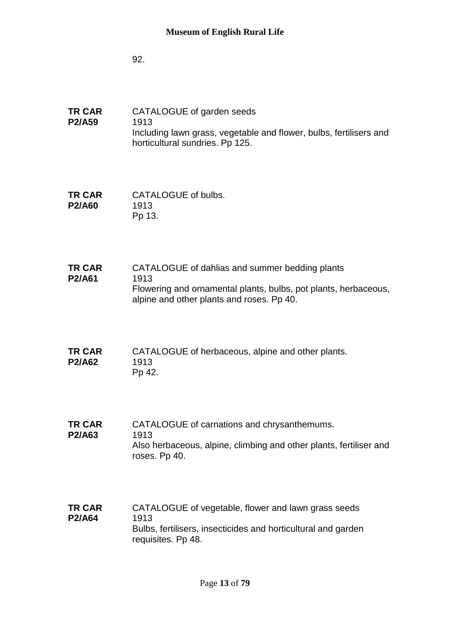92.

- **TR CAR P2/A59** CATALOGUE of garden seeds 1913 Including lawn grass, vegetable and flower, bulbs, fertilisers and horticultural sundries. Pp 125.
- **TR CAR P2/A60** CATALOGUE of bulbs. 1913 Pp 13.
- **TR CAR P2/A61** CATALOGUE of dahlias and summer bedding plants 1913 Flowering and ornamental plants, bulbs, pot plants, herbaceous, alpine and other plants and roses. Pp 40.
- **TR CAR P2/A62** CATALOGUE of herbaceous, alpine and other plants. 1913 Pp 42.
- **TR CAR P2/A63** CATALOGUE of carnations and chrysanthemums. 1913 Also herbaceous, alpine, climbing and other plants, fertiliser and roses. Pp 40.
- **TR CAR P2/A64** CATALOGUE of vegetable, flower and lawn grass seeds 1913 Bulbs, fertilisers, insecticides and horticultural and garden requisites. Pp 48.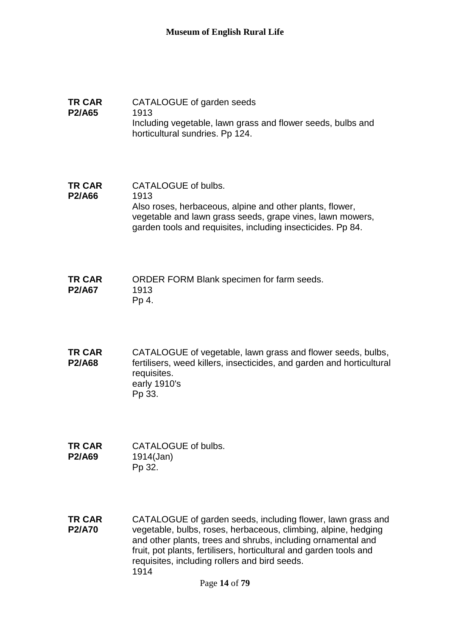#### **TR CAR P2/A65** CATALOGUE of garden seeds 1913 Including vegetable, lawn grass and flower seeds, bulbs and horticultural sundries. Pp 124.

- **TR CAR P2/A66** CATALOGUE of bulbs. 1913 Also roses, herbaceous, alpine and other plants, flower, vegetable and lawn grass seeds, grape vines, lawn mowers, garden tools and requisites, including insecticides. Pp 84.
- **TR CAR P2/A67** ORDER FORM Blank specimen for farm seeds. 1913 Pp 4.
- **TR CAR P2/A68** CATALOGUE of vegetable, lawn grass and flower seeds, bulbs, fertilisers, weed killers, insecticides, and garden and horticultural requisites. early 1910's Pp 33.
- **TR CAR P2/A69** CATALOGUE of bulbs. 1914(Jan) Pp 32.
- **TR CAR P2/A70** CATALOGUE of garden seeds, including flower, lawn grass and vegetable, bulbs, roses, herbaceous, climbing, alpine, hedging and other plants, trees and shrubs, including ornamental and fruit, pot plants, fertilisers, horticultural and garden tools and requisites, including rollers and bird seeds. 1914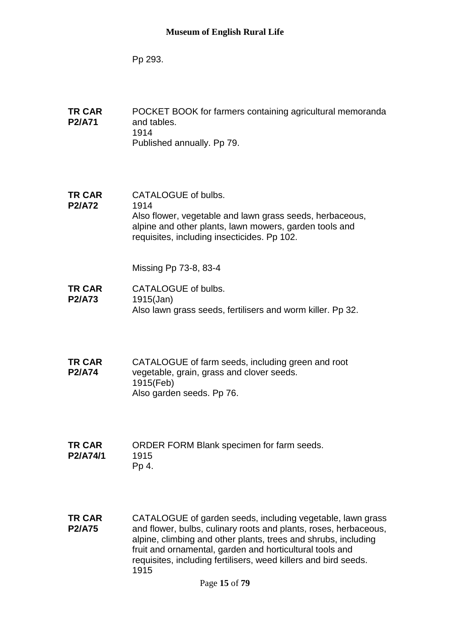Pp 293.

- **TR CAR P2/A71** POCKET BOOK for farmers containing agricultural memoranda and tables. 1914 Published annually. Pp 79.
- **TR CAR P2/A72** CATALOGUE of bulbs. 1914 Also flower, vegetable and lawn grass seeds, herbaceous, alpine and other plants, lawn mowers, garden tools and requisites, including insecticides. Pp 102.

Missing Pp 73-8, 83-4

- **TR CAR P2/A73** CATALOGUE of bulbs. 1915(Jan) Also lawn grass seeds, fertilisers and worm killer. Pp 32.
- **TR CAR P2/A74** CATALOGUE of farm seeds, including green and root vegetable, grain, grass and clover seeds. 1915(Feb) Also garden seeds. Pp 76.
- **TR CAR P2/A74/1** ORDER FORM Blank specimen for farm seeds. 1915 Pp 4.
- **TR CAR P2/A75** CATALOGUE of garden seeds, including vegetable, lawn grass and flower, bulbs, culinary roots and plants, roses, herbaceous, alpine, climbing and other plants, trees and shrubs, including fruit and ornamental, garden and horticultural tools and requisites, including fertilisers, weed killers and bird seeds. 1915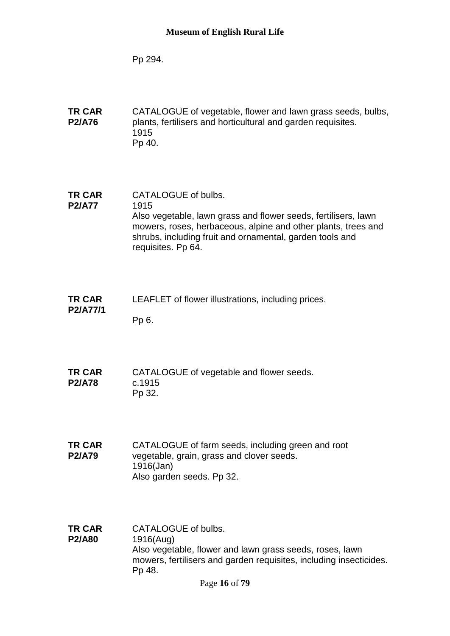Pp 294.

**TR CAR P2/A76** CATALOGUE of vegetable, flower and lawn grass seeds, bulbs, plants, fertilisers and horticultural and garden requisites. 1915 Pp 40.

**TR CAR P2/A77** CATALOGUE of bulbs. 1915 Also vegetable, lawn grass and flower seeds, fertilisers, lawn mowers, roses, herbaceous, alpine and other plants, trees and shrubs, including fruit and ornamental, garden tools and requisites. Pp 64.

- **TR CAR P2/A77/1** LEAFLET of flower illustrations, including prices. Pp 6.
- **TR CAR P2/A78** CATALOGUE of vegetable and flower seeds. c.1915 Pp 32.

**TR CAR P2/A79** CATALOGUE of farm seeds, including green and root vegetable, grain, grass and clover seeds. 1916(Jan) Also garden seeds. Pp 32.

**TR CAR P2/A80** CATALOGUE of bulbs. 1916(Aug) Also vegetable, flower and lawn grass seeds, roses, lawn mowers, fertilisers and garden requisites, including insecticides. Pp 48.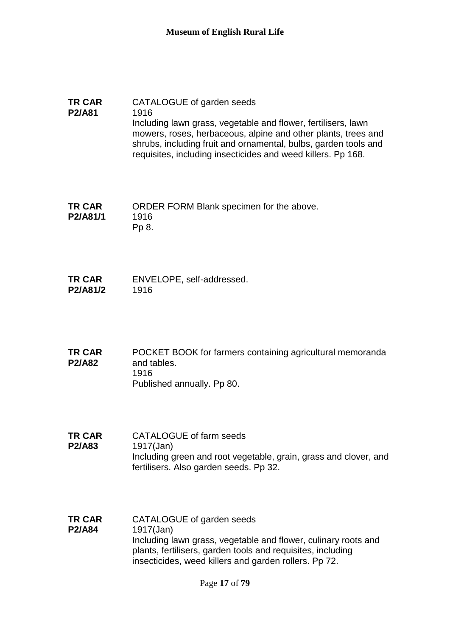#### **TR CAR P2/A81** CATALOGUE of garden seeds 1916 Including lawn grass, vegetable and flower, fertilisers, lawn mowers, roses, herbaceous, alpine and other plants, trees and shrubs, including fruit and ornamental, bulbs, garden tools and requisites, including insecticides and weed killers. Pp 168.

**TR CAR P2/A81/1** ORDER FORM Blank specimen for the above. 1916 Pp 8.

**TR CAR P2/A81/2** ENVELOPE, self-addressed. 1916

**TR CAR P2/A82** POCKET BOOK for farmers containing agricultural memoranda and tables. 1916 Published annually. Pp 80.

- **TR CAR P2/A83** CATALOGUE of farm seeds 1917(Jan) Including green and root vegetable, grain, grass and clover, and fertilisers. Also garden seeds. Pp 32.
- **TR CAR P2/A84** CATALOGUE of garden seeds 1917(Jan) Including lawn grass, vegetable and flower, culinary roots and plants, fertilisers, garden tools and requisites, including insecticides, weed killers and garden rollers. Pp 72.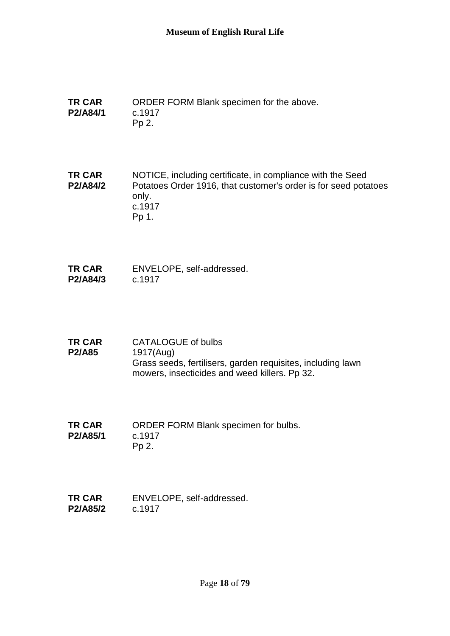**TR CAR P2/A84/1** ORDER FORM Blank specimen for the above. c.1917 Pp 2.

**TR CAR P2/A84/2** NOTICE, including certificate, in compliance with the Seed Potatoes Order 1916, that customer's order is for seed potatoes only. c.1917 Pp 1.

- **TR CAR P2/A84/3** ENVELOPE, self-addressed. c.1917
- **TR CAR P2/A85** CATALOGUE of bulbs 1917(Aug) Grass seeds, fertilisers, garden requisites, including lawn mowers, insecticides and weed killers. Pp 32.
- **TR CAR P2/A85/1** ORDER FORM Blank specimen for bulbs. c.1917 Pp 2.
- **TR CAR P2/A85/2** ENVELOPE, self-addressed. c.1917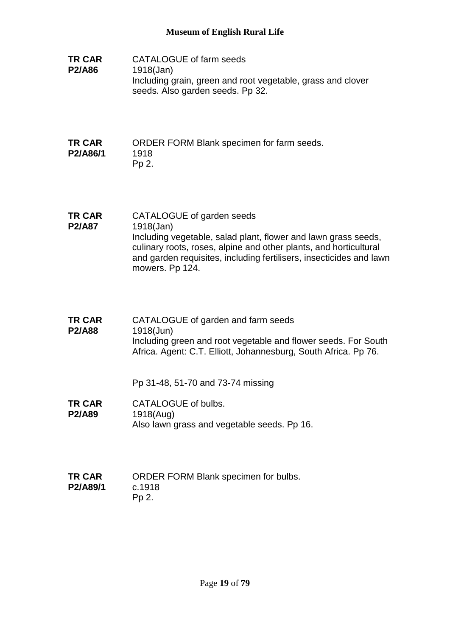**TR CAR P2/A86** CATALOGUE of farm seeds 1918(Jan) Including grain, green and root vegetable, grass and clover seeds. Also garden seeds. Pp 32.

#### **TR CAR P2/A86/1** ORDER FORM Blank specimen for farm seeds. 1918 Pp 2.

- **TR CAR P2/A87** CATALOGUE of garden seeds 1918(Jan) Including vegetable, salad plant, flower and lawn grass seeds, culinary roots, roses, alpine and other plants, and horticultural and garden requisites, including fertilisers, insecticides and lawn mowers. Pp 124.
- **TR CAR P2/A88** CATALOGUE of garden and farm seeds 1918(Jun) Including green and root vegetable and flower seeds. For South Africa. Agent: C.T. Elliott, Johannesburg, South Africa. Pp 76.

Pp 31-48, 51-70 and 73-74 missing

- **TR CAR P2/A89** CATALOGUE of bulbs. 1918(Aug) Also lawn grass and vegetable seeds. Pp 16.
- **TR CAR P2/A89/1** ORDER FORM Blank specimen for bulbs. c.1918 Pp 2.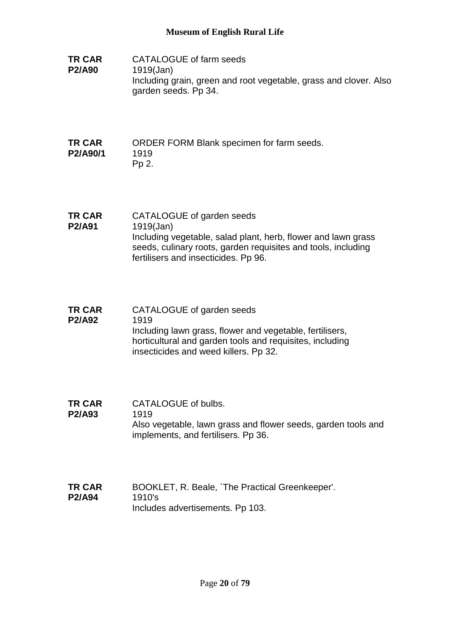**TR CAR P2/A90** CATALOGUE of farm seeds 1919(Jan) Including grain, green and root vegetable, grass and clover. Also garden seeds. Pp 34.

#### **TR CAR P2/A90/1** ORDER FORM Blank specimen for farm seeds. 1919 Pp 2.

- **TR CAR P2/A91** CATALOGUE of garden seeds 1919(Jan) Including vegetable, salad plant, herb, flower and lawn grass seeds, culinary roots, garden requisites and tools, including fertilisers and insecticides. Pp 96.
- **TR CAR P2/A92** CATALOGUE of garden seeds 1919 Including lawn grass, flower and vegetable, fertilisers, horticultural and garden tools and requisites, including insecticides and weed killers. Pp 32.
- **TR CAR P2/A93** CATALOGUE of bulbs. 1919 Also vegetable, lawn grass and flower seeds, garden tools and implements, and fertilisers. Pp 36.
- **TR CAR P2/A94** BOOKLET, R. Beale, `The Practical Greenkeeper'. 1910's Includes advertisements. Pp 103.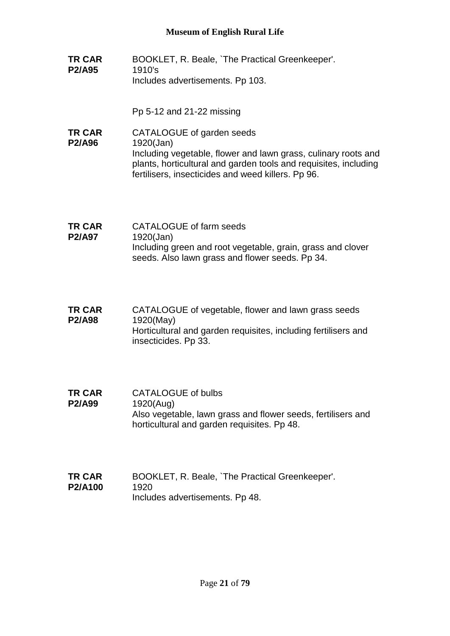**TR CAR P2/A95** BOOKLET, R. Beale, `The Practical Greenkeeper'. 1910's Includes advertisements. Pp 103.

Pp 5-12 and 21-22 missing

- **TR CAR P2/A96** CATALOGUE of garden seeds 1920(Jan) Including vegetable, flower and lawn grass, culinary roots and plants, horticultural and garden tools and requisites, including fertilisers, insecticides and weed killers. Pp 96.
- **TR CAR P2/A97** CATALOGUE of farm seeds 1920(Jan) Including green and root vegetable, grain, grass and clover seeds. Also lawn grass and flower seeds. Pp 34.
- **TR CAR P2/A98** CATALOGUE of vegetable, flower and lawn grass seeds 1920(May) Horticultural and garden requisites, including fertilisers and insecticides. Pp 33.
- **TR CAR P2/A99** CATALOGUE of bulbs 1920(Aug) Also vegetable, lawn grass and flower seeds, fertilisers and horticultural and garden requisites. Pp 48.
- **TR CAR P2/A100** BOOKLET, R. Beale, `The Practical Greenkeeper'. 1920 Includes advertisements. Pp 48.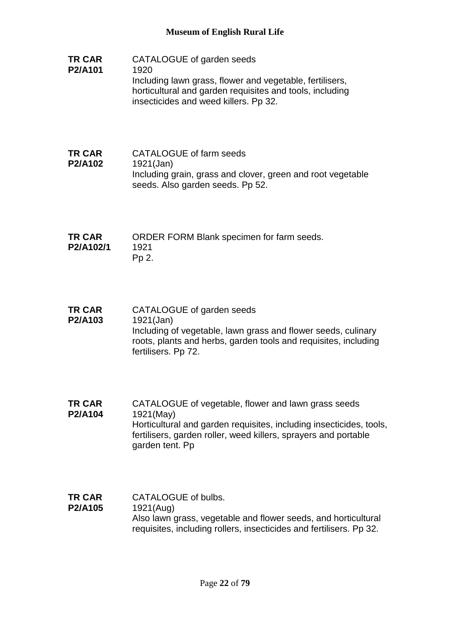- **TR CAR P2/A101** CATALOGUE of garden seeds 1920 Including lawn grass, flower and vegetable, fertilisers, horticultural and garden requisites and tools, including insecticides and weed killers. Pp 32.
- **TR CAR P2/A102** CATALOGUE of farm seeds 1921(Jan) Including grain, grass and clover, green and root vegetable seeds. Also garden seeds. Pp 52.
- **TR CAR P2/A102/1** ORDER FORM Blank specimen for farm seeds. 1921 Pp 2.
- **TR CAR P2/A103** CATALOGUE of garden seeds 1921(Jan) Including of vegetable, lawn grass and flower seeds, culinary roots, plants and herbs, garden tools and requisites, including fertilisers. Pp 72.
- **TR CAR P2/A104** CATALOGUE of vegetable, flower and lawn grass seeds 1921(May) Horticultural and garden requisites, including insecticides, tools, fertilisers, garden roller, weed killers, sprayers and portable garden tent. Pp
- **TR CAR P2/A105** CATALOGUE of bulbs. 1921(Aug) Also lawn grass, vegetable and flower seeds, and horticultural requisites, including rollers, insecticides and fertilisers. Pp 32.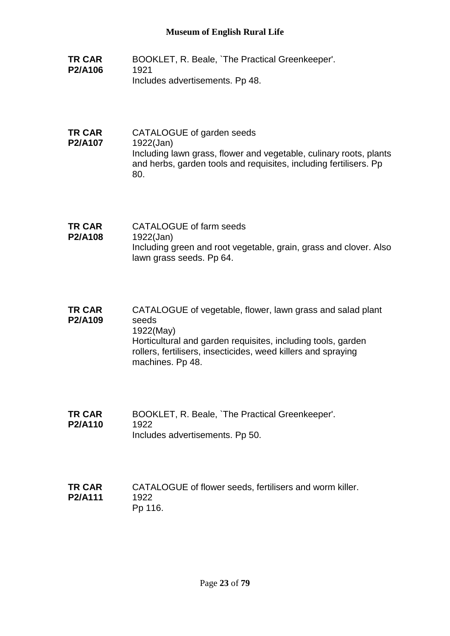- **TR CAR P2/A106** BOOKLET, R. Beale, `The Practical Greenkeeper'. 1921 Includes advertisements. Pp 48.
- **TR CAR P2/A107** CATALOGUE of garden seeds 1922(Jan) Including lawn grass, flower and vegetable, culinary roots, plants and herbs, garden tools and requisites, including fertilisers. Pp 80.
- **TR CAR P2/A108** CATALOGUE of farm seeds 1922(Jan) Including green and root vegetable, grain, grass and clover. Also lawn grass seeds. Pp 64.
- **TR CAR P2/A109** CATALOGUE of vegetable, flower, lawn grass and salad plant seeds 1922(May) Horticultural and garden requisites, including tools, garden rollers, fertilisers, insecticides, weed killers and spraying machines. Pp 48.
- **TR CAR P2/A110** BOOKLET, R. Beale, `The Practical Greenkeeper'. 1922 Includes advertisements. Pp 50.
- **TR CAR P2/A111** CATALOGUE of flower seeds, fertilisers and worm killer. 1922 Pp 116.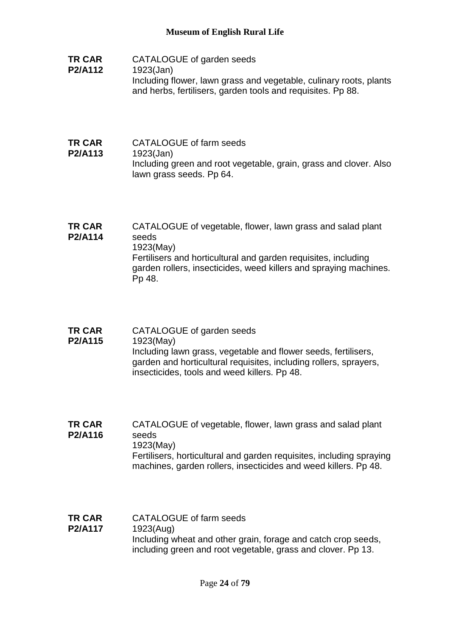- **TR CAR P2/A112** CATALOGUE of garden seeds 1923(Jan) Including flower, lawn grass and vegetable, culinary roots, plants and herbs, fertilisers, garden tools and requisites. Pp 88.
- **TR CAR P2/A113** CATALOGUE of farm seeds 1923(Jan) Including green and root vegetable, grain, grass and clover. Also lawn grass seeds. Pp 64.
- **TR CAR P2/A114** CATALOGUE of vegetable, flower, lawn grass and salad plant seeds 1923(May) Fertilisers and horticultural and garden requisites, including garden rollers, insecticides, weed killers and spraying machines. Pp 48.
- **TR CAR P2/A115** CATALOGUE of garden seeds 1923(May) Including lawn grass, vegetable and flower seeds, fertilisers, garden and horticultural requisites, including rollers, sprayers, insecticides, tools and weed killers. Pp 48.
- **TR CAR P2/A116** CATALOGUE of vegetable, flower, lawn grass and salad plant seeds 1923(May) Fertilisers, horticultural and garden requisites, including spraying machines, garden rollers, insecticides and weed killers. Pp 48.
- **TR CAR P2/A117** CATALOGUE of farm seeds 1923(Aug) Including wheat and other grain, forage and catch crop seeds, including green and root vegetable, grass and clover. Pp 13.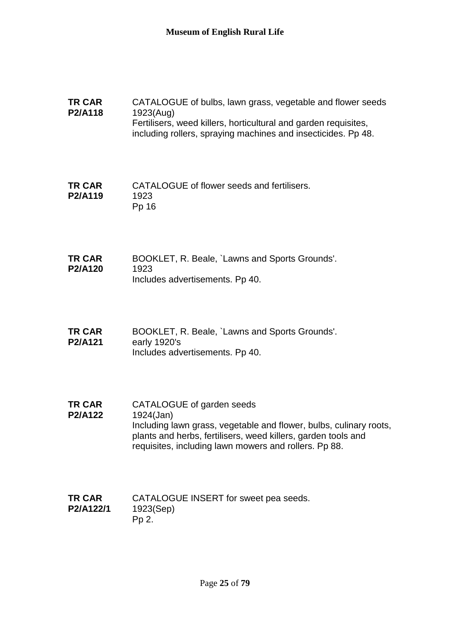#### **TR CAR P2/A118** CATALOGUE of bulbs, lawn grass, vegetable and flower seeds 1923(Aug) Fertilisers, weed killers, horticultural and garden requisites, including rollers, spraying machines and insecticides. Pp 48.

**TR CAR P2/A119** CATALOGUE of flower seeds and fertilisers. 1923 Pp 16

- **TR CAR P2/A120** BOOKLET, R. Beale, `Lawns and Sports Grounds'. 1923 Includes advertisements. Pp 40.
- **TR CAR P2/A121** BOOKLET, R. Beale, `Lawns and Sports Grounds'. early 1920's Includes advertisements. Pp 40.
- **TR CAR P2/A122** CATALOGUE of garden seeds 1924(Jan) Including lawn grass, vegetable and flower, bulbs, culinary roots, plants and herbs, fertilisers, weed killers, garden tools and requisites, including lawn mowers and rollers. Pp 88.

#### **TR CAR P2/A122/1** CATALOGUE INSERT for sweet pea seeds. 1923(Sep) Pp 2.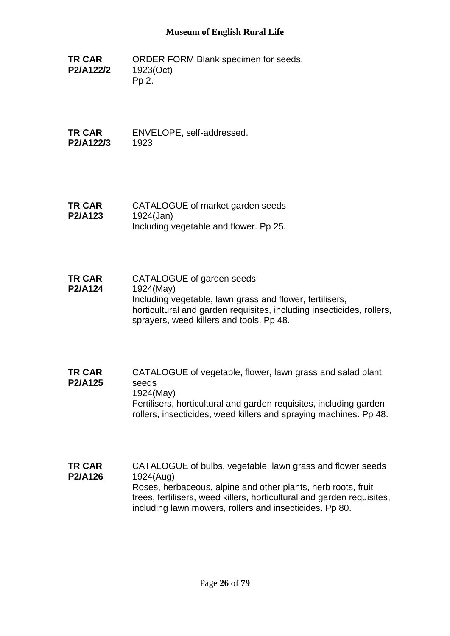**TR CAR P2/A122/2** ORDER FORM Blank specimen for seeds. 1923(Oct) Pp 2.

**TR CAR P2/A122/3** ENVELOPE, self-addressed. 1923

**TR CAR P2/A123** CATALOGUE of market garden seeds 1924(Jan) Including vegetable and flower. Pp 25.

- **TR CAR P2/A124** CATALOGUE of garden seeds 1924(May) Including vegetable, lawn grass and flower, fertilisers, horticultural and garden requisites, including insecticides, rollers, sprayers, weed killers and tools. Pp 48.
- **TR CAR P2/A125** CATALOGUE of vegetable, flower, lawn grass and salad plant seeds 1924(May) Fertilisers, horticultural and garden requisites, including garden rollers, insecticides, weed killers and spraying machines. Pp 48.
- **TR CAR P2/A126** CATALOGUE of bulbs, vegetable, lawn grass and flower seeds 1924(Aug) Roses, herbaceous, alpine and other plants, herb roots, fruit trees, fertilisers, weed killers, horticultural and garden requisites, including lawn mowers, rollers and insecticides. Pp 80.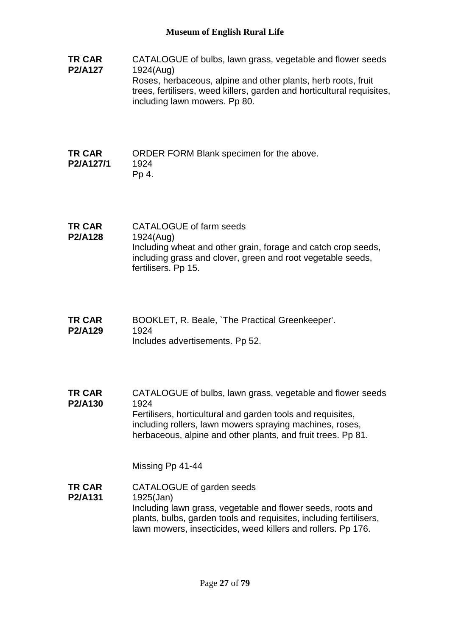**TR CAR P2/A127** CATALOGUE of bulbs, lawn grass, vegetable and flower seeds 1924(Aug) Roses, herbaceous, alpine and other plants, herb roots, fruit trees, fertilisers, weed killers, garden and horticultural requisites, including lawn mowers. Pp 80. **TR CAR P2/A127/1** ORDER FORM Blank specimen for the above. 1924 Pp 4. **TR CAR P2/A128** CATALOGUE of farm seeds 1924(Aug) Including wheat and other grain, forage and catch crop seeds, including grass and clover, green and root vegetable seeds, fertilisers. Pp 15. **TR CAR P2/A129** BOOKLET, R. Beale, `The Practical Greenkeeper'. 1924 Includes advertisements. Pp 52. **TR CAR P2/A130** CATALOGUE of bulbs, lawn grass, vegetable and flower seeds 1924 Fertilisers, horticultural and garden tools and requisites, including rollers, lawn mowers spraying machines, roses, herbaceous, alpine and other plants, and fruit trees. Pp 81. Missing Pp 41-44 **TR CAR P2/A131** CATALOGUE of garden seeds 1925(Jan) Including lawn grass, vegetable and flower seeds, roots and plants, bulbs, garden tools and requisites, including fertilisers, lawn mowers, insecticides, weed killers and rollers. Pp 176.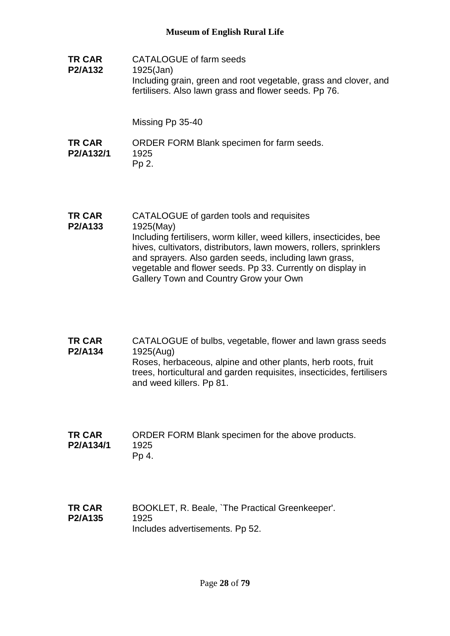**TR CAR P2/A132** CATALOGUE of farm seeds 1925(Jan) Including grain, green and root vegetable, grass and clover, and fertilisers. Also lawn grass and flower seeds. Pp 76.

Missing Pp 35-40

- **TR CAR P2/A132/1** ORDER FORM Blank specimen for farm seeds. 1925 Pp 2.
- **TR CAR P2/A133** CATALOGUE of garden tools and requisites 1925(May) Including fertilisers, worm killer, weed killers, insecticides, bee hives, cultivators, distributors, lawn mowers, rollers, sprinklers and sprayers. Also garden seeds, including lawn grass, vegetable and flower seeds. Pp 33. Currently on display in Gallery Town and Country Grow your Own
- **TR CAR P2/A134** CATALOGUE of bulbs, vegetable, flower and lawn grass seeds 1925(Aug) Roses, herbaceous, alpine and other plants, herb roots, fruit trees, horticultural and garden requisites, insecticides, fertilisers and weed killers. Pp 81.
- **TR CAR P2/A134/1** ORDER FORM Blank specimen for the above products. 1925 Pp 4.
- **TR CAR P2/A135** BOOKLET, R. Beale, `The Practical Greenkeeper'. 1925 Includes advertisements. Pp 52.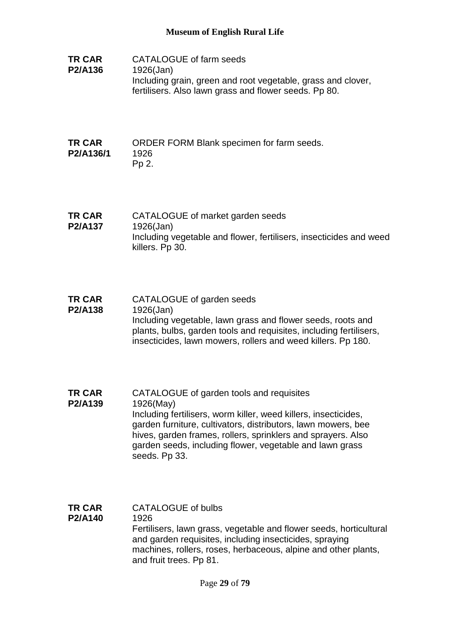| <b>TR CAR</b><br>P2/A136 | CATALOGUE of farm seeds<br>1926(Jan)<br>Including grain, green and root vegetable, grass and clover,<br>fertilisers. Also lawn grass and flower seeds. Pp 80. |
|--------------------------|---------------------------------------------------------------------------------------------------------------------------------------------------------------|
| TD CAD                   | OPDER EOPM RIANK specimen for farm soods                                                                                                                      |

#### **TR CAR P2/A136/1** ORDER FORM Blank specimen for farm seeds. 1926 Pp 2.

- **TR CAR P2/A137** CATALOGUE of market garden seeds 1926(Jan) Including vegetable and flower, fertilisers, insecticides and weed killers. Pp 30.
- **TR CAR P2/A138** CATALOGUE of garden seeds 1926(Jan) Including vegetable, lawn grass and flower seeds, roots and plants, bulbs, garden tools and requisites, including fertilisers, insecticides, lawn mowers, rollers and weed killers. Pp 180.
- **TR CAR P2/A139** CATALOGUE of garden tools and requisites 1926(May) Including fertilisers, worm killer, weed killers, insecticides, garden furniture, cultivators, distributors, lawn mowers, bee hives, garden frames, rollers, sprinklers and sprayers. Also garden seeds, including flower, vegetable and lawn grass seeds. Pp 33.
- **TR CAR P2/A140** CATALOGUE of bulbs 1926 Fertilisers, lawn grass, vegetable and flower seeds, horticultural and garden requisites, including insecticides, spraying machines, rollers, roses, herbaceous, alpine and other plants, and fruit trees. Pp 81.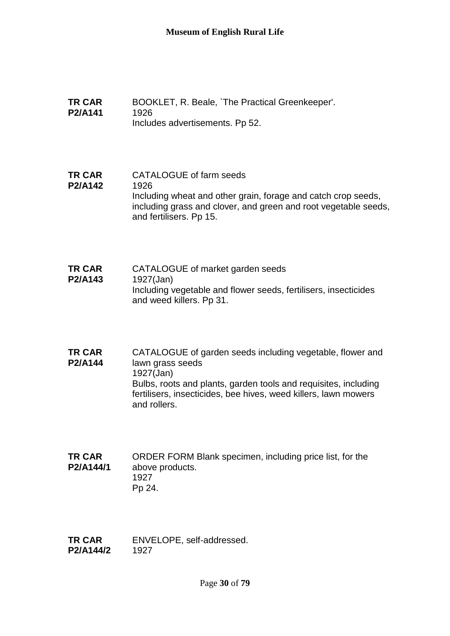- **TR CAR P2/A141** BOOKLET, R. Beale, `The Practical Greenkeeper'. 1926 Includes advertisements. Pp 52.
- **TR CAR P2/A142** CATALOGUE of farm seeds 1926 Including wheat and other grain, forage and catch crop seeds, including grass and clover, and green and root vegetable seeds, and fertilisers. Pp 15.
- **TR CAR P2/A143** CATALOGUE of market garden seeds 1927(Jan) Including vegetable and flower seeds, fertilisers, insecticides and weed killers. Pp 31.
- **TR CAR P2/A144** CATALOGUE of garden seeds including vegetable, flower and lawn grass seeds 1927(Jan) Bulbs, roots and plants, garden tools and requisites, including fertilisers, insecticides, bee hives, weed killers, lawn mowers and rollers.
- **TR CAR P2/A144/1** ORDER FORM Blank specimen, including price list, for the above products. 1927 Pp 24.
- **TR CAR P2/A144/2** ENVELOPE, self-addressed. 1927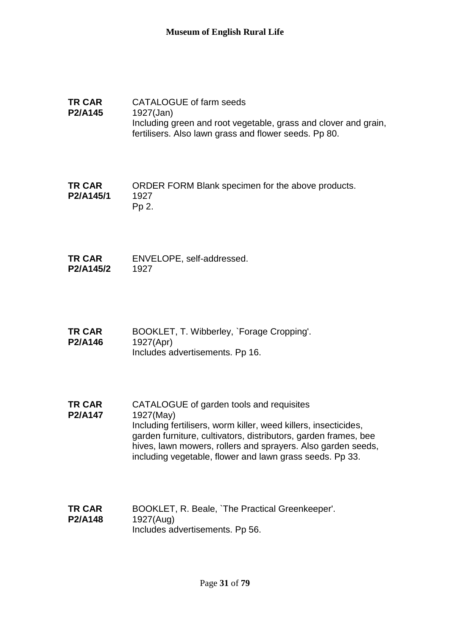- **TR CAR P2/A145** CATALOGUE of farm seeds 1927(Jan) Including green and root vegetable, grass and clover and grain, fertilisers. Also lawn grass and flower seeds. Pp 80.
- **TR CAR P2/A145/1** ORDER FORM Blank specimen for the above products. 1927 Pp 2.
- **TR CAR P2/A145/2** ENVELOPE, self-addressed. 1927
- **TR CAR P2/A146** BOOKLET, T. Wibberley, `Forage Cropping'. 1927(Apr) Includes advertisements. Pp 16.
- **TR CAR P2/A147** CATALOGUE of garden tools and requisites 1927(May) Including fertilisers, worm killer, weed killers, insecticides, garden furniture, cultivators, distributors, garden frames, bee hives, lawn mowers, rollers and sprayers. Also garden seeds, including vegetable, flower and lawn grass seeds. Pp 33.
- **TR CAR P2/A148** BOOKLET, R. Beale, `The Practical Greenkeeper'. 1927(Aug) Includes advertisements. Pp 56.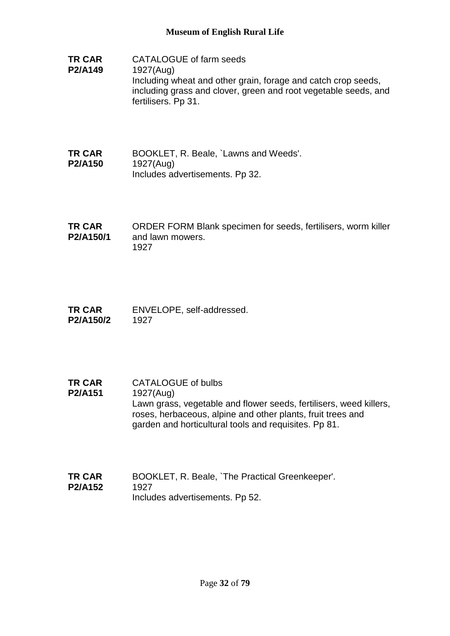- **TR CAR P2/A149** CATALOGUE of farm seeds 1927(Aug) Including wheat and other grain, forage and catch crop seeds, including grass and clover, green and root vegetable seeds, and fertilisers. Pp 31.
- **TR CAR P2/A150** BOOKLET, R. Beale, `Lawns and Weeds'. 1927(Aug) Includes advertisements. Pp 32.
- **TR CAR P2/A150/1** ORDER FORM Blank specimen for seeds, fertilisers, worm killer and lawn mowers. 1927
- **TR CAR P2/A150/2** ENVELOPE, self-addressed. 1927
- **TR CAR P2/A151** CATALOGUE of bulbs 1927(Aug) Lawn grass, vegetable and flower seeds, fertilisers, weed killers, roses, herbaceous, alpine and other plants, fruit trees and garden and horticultural tools and requisites. Pp 81.
- **TR CAR P2/A152** BOOKLET, R. Beale, `The Practical Greenkeeper'. 1927 Includes advertisements. Pp 52.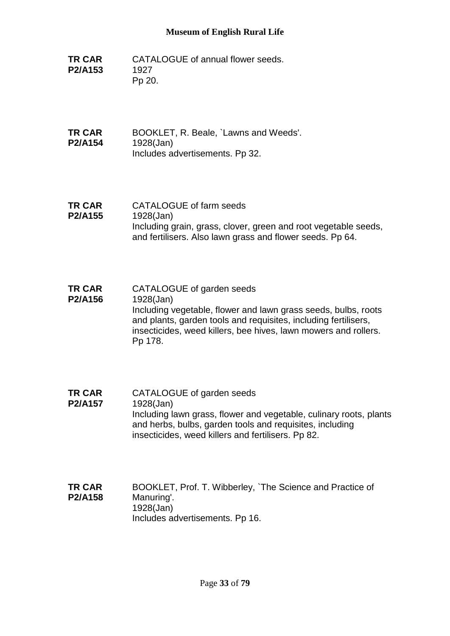**TR CAR P2/A153** CATALOGUE of annual flower seeds. 1927 Pp 20.

**TR CAR P2/A154** BOOKLET, R. Beale, `Lawns and Weeds'. 1928(Jan) Includes advertisements. Pp 32.

- **TR CAR P2/A155** CATALOGUE of farm seeds 1928(Jan) Including grain, grass, clover, green and root vegetable seeds, and fertilisers. Also lawn grass and flower seeds. Pp 64.
- **TR CAR P2/A156** CATALOGUE of garden seeds 1928(Jan) Including vegetable, flower and lawn grass seeds, bulbs, roots and plants, garden tools and requisites, including fertilisers, insecticides, weed killers, bee hives, lawn mowers and rollers. Pp 178.
- **TR CAR P2/A157** CATALOGUE of garden seeds 1928(Jan) Including lawn grass, flower and vegetable, culinary roots, plants and herbs, bulbs, garden tools and requisites, including insecticides, weed killers and fertilisers. Pp 82.
- **TR CAR P2/A158** BOOKLET, Prof. T. Wibberley, `The Science and Practice of Manuring'. 1928(Jan) Includes advertisements. Pp 16.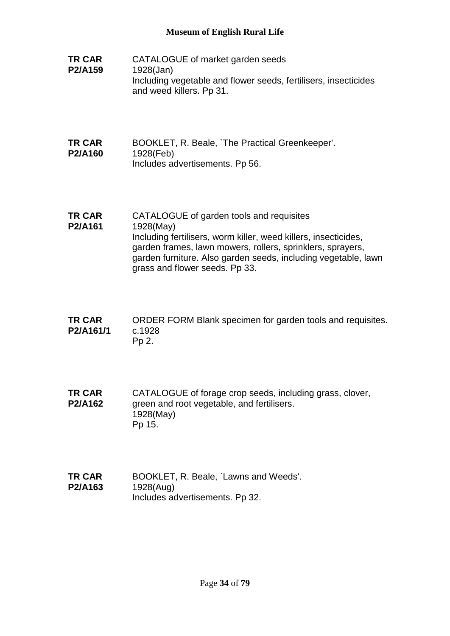- **TR CAR P2/A159** CATALOGUE of market garden seeds 1928(Jan) Including vegetable and flower seeds, fertilisers, insecticides and weed killers. Pp 31.
- **TR CAR P2/A160** BOOKLET, R. Beale, `The Practical Greenkeeper'. 1928(Feb) Includes advertisements. Pp 56.
- **TR CAR P2/A161** CATALOGUE of garden tools and requisites 1928(May) Including fertilisers, worm killer, weed killers, insecticides, garden frames, lawn mowers, rollers, sprinklers, sprayers, garden furniture. Also garden seeds, including vegetable, lawn grass and flower seeds. Pp 33.
- **TR CAR P2/A161/1** ORDER FORM Blank specimen for garden tools and requisites. c.1928 Pp 2.
- **TR CAR P2/A162** CATALOGUE of forage crop seeds, including grass, clover, green and root vegetable, and fertilisers. 1928(May) Pp 15.
- **TR CAR P2/A163** BOOKLET, R. Beale, `Lawns and Weeds'. 1928(Aug) Includes advertisements. Pp 32.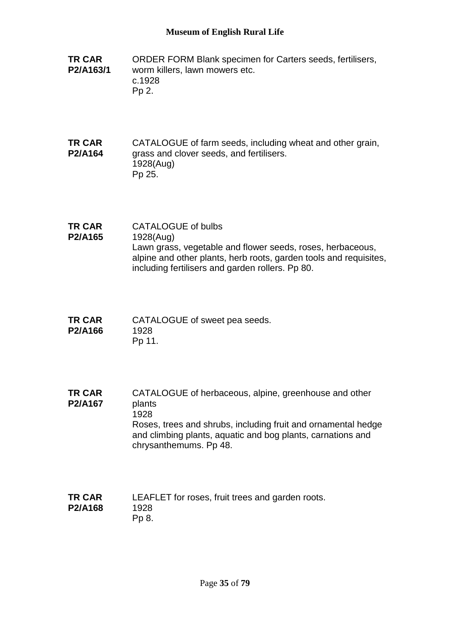- **TR CAR P2/A163/1** ORDER FORM Blank specimen for Carters seeds, fertilisers, worm killers, lawn mowers etc. c.1928 Pp 2.
- **TR CAR P2/A164** CATALOGUE of farm seeds, including wheat and other grain, grass and clover seeds, and fertilisers. 1928(Aug) Pp 25.
- **TR CAR P2/A165** CATALOGUE of bulbs 1928(Aug) Lawn grass, vegetable and flower seeds, roses, herbaceous, alpine and other plants, herb roots, garden tools and requisites, including fertilisers and garden rollers. Pp 80.
- **TR CAR P2/A166** CATALOGUE of sweet pea seeds. 1928 Pp 11.

**TR CAR P2/A167** CATALOGUE of herbaceous, alpine, greenhouse and other plants 1928 Roses, trees and shrubs, including fruit and ornamental hedge and climbing plants, aquatic and bog plants, carnations and chrysanthemums. Pp 48.

**TR CAR P2/A168** LEAFLET for roses, fruit trees and garden roots. 1928 Pp 8.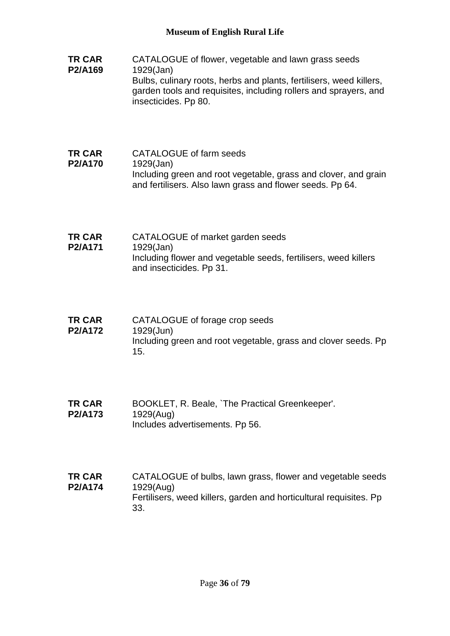- **TR CAR P2/A169** CATALOGUE of flower, vegetable and lawn grass seeds 1929(Jan) Bulbs, culinary roots, herbs and plants, fertilisers, weed killers, garden tools and requisites, including rollers and sprayers, and insecticides. Pp 80.
- **TR CAR P2/A170** CATALOGUE of farm seeds 1929(Jan) Including green and root vegetable, grass and clover, and grain and fertilisers. Also lawn grass and flower seeds. Pp 64.
- **TR CAR P2/A171** CATALOGUE of market garden seeds 1929(Jan) Including flower and vegetable seeds, fertilisers, weed killers and insecticides. Pp 31.
- **TR CAR P2/A172** CATALOGUE of forage crop seeds 1929(Jun) Including green and root vegetable, grass and clover seeds. Pp 15.
- **TR CAR P2/A173** BOOKLET, R. Beale, `The Practical Greenkeeper'. 1929(Aug) Includes advertisements. Pp 56.
- **TR CAR P2/A174** CATALOGUE of bulbs, lawn grass, flower and vegetable seeds 1929(Aug) Fertilisers, weed killers, garden and horticultural requisites. Pp 33.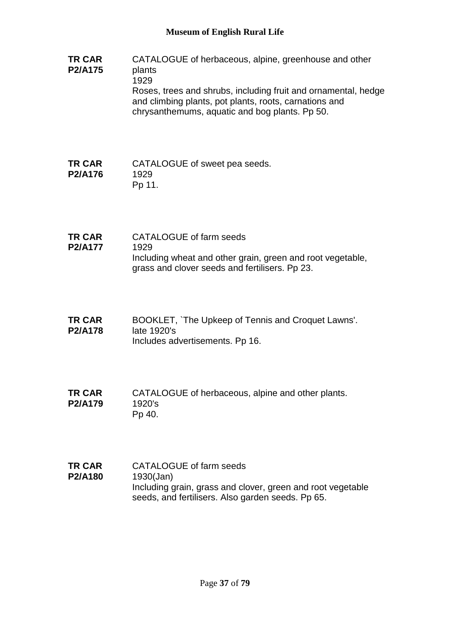#### **TR CAR P2/A175** CATALOGUE of herbaceous, alpine, greenhouse and other plants 1929 Roses, trees and shrubs, including fruit and ornamental, hedge and climbing plants, pot plants, roots, carnations and chrysanthemums, aquatic and bog plants. Pp 50.

#### **TR CAR P2/A176** CATALOGUE of sweet pea seeds. 1929 Pp 11.

- **TR CAR P2/A177** CATALOGUE of farm seeds 1929 Including wheat and other grain, green and root vegetable, grass and clover seeds and fertilisers. Pp 23.
- **TR CAR P2/A178** BOOKLET, `The Upkeep of Tennis and Croquet Lawns'. late 1920's Includes advertisements. Pp 16.
- **TR CAR P2/A179** CATALOGUE of herbaceous, alpine and other plants. 1920's Pp 40.
- **TR CAR P2/A180** CATALOGUE of farm seeds 1930(Jan) Including grain, grass and clover, green and root vegetable seeds, and fertilisers. Also garden seeds. Pp 65.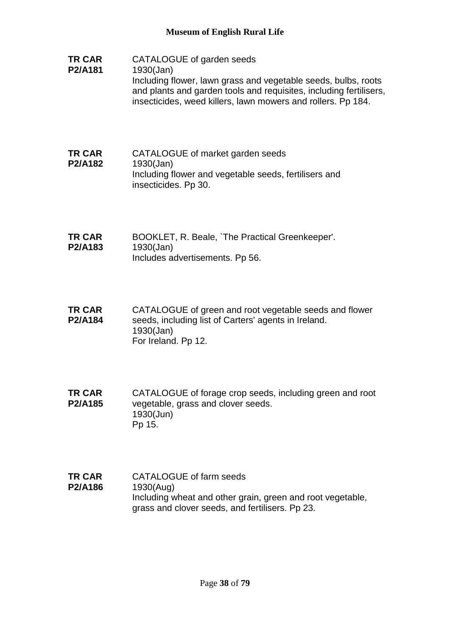- **TR CAR P2/A181** CATALOGUE of garden seeds 1930(Jan) Including flower, lawn grass and vegetable seeds, bulbs, roots and plants and garden tools and requisites, including fertilisers, insecticides, weed killers, lawn mowers and rollers. Pp 184.
- **TR CAR P2/A182** CATALOGUE of market garden seeds 1930(Jan) Including flower and vegetable seeds, fertilisers and insecticides. Pp 30.
- **TR CAR P2/A183** BOOKLET, R. Beale, `The Practical Greenkeeper'. 1930(Jan) Includes advertisements. Pp 56.
- **TR CAR P2/A184** CATALOGUE of green and root vegetable seeds and flower seeds, including list of Carters' agents in Ireland. 1930(Jan) For Ireland. Pp 12.
- **TR CAR P2/A185** CATALOGUE of forage crop seeds, including green and root vegetable, grass and clover seeds. 1930(Jun) Pp 15.
- **TR CAR P2/A186** CATALOGUE of farm seeds 1930(Aug) Including wheat and other grain, green and root vegetable, grass and clover seeds, and fertilisers. Pp 23.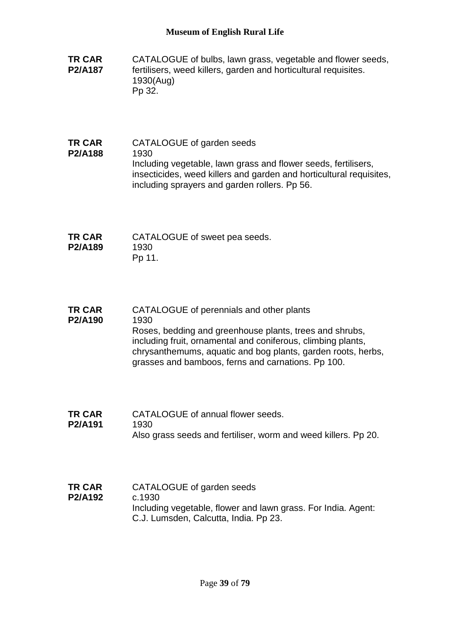- **TR CAR P2/A187** CATALOGUE of bulbs, lawn grass, vegetable and flower seeds, fertilisers, weed killers, garden and horticultural requisites. 1930(Aug) Pp 32.
- **TR CAR P2/A188** CATALOGUE of garden seeds 1930 Including vegetable, lawn grass and flower seeds, fertilisers, insecticides, weed killers and garden and horticultural requisites, including sprayers and garden rollers. Pp 56.
- **TR CAR P2/A189** CATALOGUE of sweet pea seeds. 1930 Pp 11.
- **TR CAR P2/A190** CATALOGUE of perennials and other plants 1930 Roses, bedding and greenhouse plants, trees and shrubs, including fruit, ornamental and coniferous, climbing plants, chrysanthemums, aquatic and bog plants, garden roots, herbs, grasses and bamboos, ferns and carnations. Pp 100.
- **TR CAR P2/A191** CATALOGUE of annual flower seeds. 1930 Also grass seeds and fertiliser, worm and weed killers. Pp 20.
- **TR CAR P2/A192** CATALOGUE of garden seeds c.1930 Including vegetable, flower and lawn grass. For India. Agent: C.J. Lumsden, Calcutta, India. Pp 23.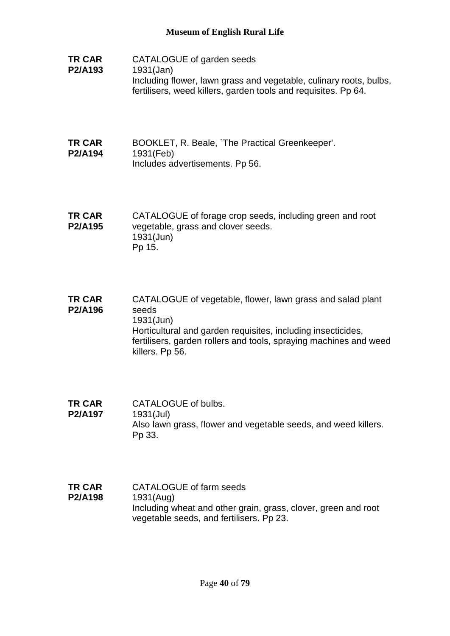- **TR CAR P2/A193** CATALOGUE of garden seeds 1931(Jan) Including flower, lawn grass and vegetable, culinary roots, bulbs, fertilisers, weed killers, garden tools and requisites. Pp 64.
- **TR CAR P2/A194** BOOKLET, R. Beale, `The Practical Greenkeeper'. 1931(Feb) Includes advertisements. Pp 56.
- **TR CAR P2/A195** CATALOGUE of forage crop seeds, including green and root vegetable, grass and clover seeds. 1931(Jun) Pp 15.
- **TR CAR P2/A196** CATALOGUE of vegetable, flower, lawn grass and salad plant seeds 1931(Jun) Horticultural and garden requisites, including insecticides, fertilisers, garden rollers and tools, spraying machines and weed killers. Pp 56.
- **TR CAR P2/A197** CATALOGUE of bulbs. 1931(Jul) Also lawn grass, flower and vegetable seeds, and weed killers. Pp 33.
- **TR CAR P2/A198** CATALOGUE of farm seeds 1931(Aug) Including wheat and other grain, grass, clover, green and root vegetable seeds, and fertilisers. Pp 23.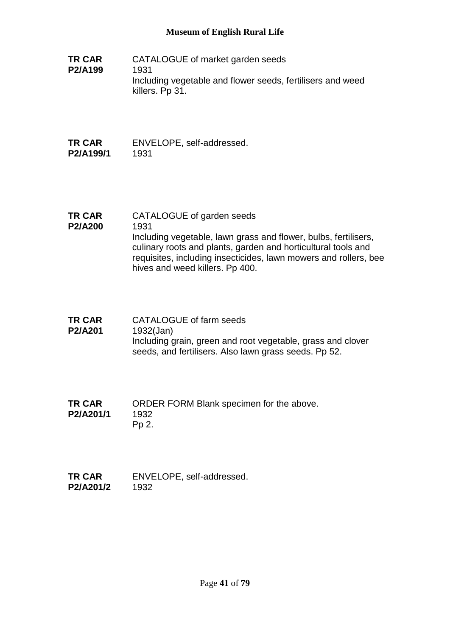**TR CAR P2/A199** CATALOGUE of market garden seeds 1931 Including vegetable and flower seeds, fertilisers and weed killers. Pp 31.

#### **TR CAR P2/A199/1** ENVELOPE, self-addressed. 1931

- **TR CAR**  CATALOGUE of garden seeds
- **P2/A200** 1931 Including vegetable, lawn grass and flower, bulbs, fertilisers, culinary roots and plants, garden and horticultural tools and requisites, including insecticides, lawn mowers and rollers, bee hives and weed killers. Pp 400.
- **TR CAR P2/A201** CATALOGUE of farm seeds 1932(Jan) Including grain, green and root vegetable, grass and clover seeds, and fertilisers. Also lawn grass seeds. Pp 52.
- **TR CAR P2/A201/1** ORDER FORM Blank specimen for the above. 1932 Pp 2.
- **TR CAR P2/A201/2** ENVELOPE, self-addressed. 1932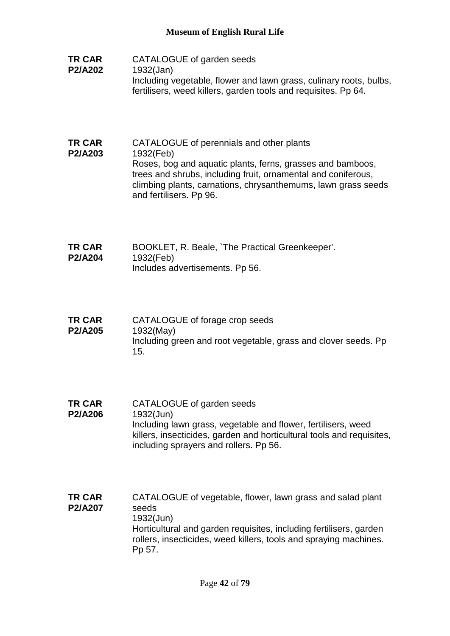- **TR CAR P2/A202** CATALOGUE of garden seeds 1932(Jan) Including vegetable, flower and lawn grass, culinary roots, bulbs, fertilisers, weed killers, garden tools and requisites. Pp 64.
- **TR CAR P2/A203** CATALOGUE of perennials and other plants 1932(Feb) Roses, bog and aquatic plants, ferns, grasses and bamboos, trees and shrubs, including fruit, ornamental and coniferous, climbing plants, carnations, chrysanthemums, lawn grass seeds and fertilisers. Pp 96.
- **TR CAR P2/A204** BOOKLET, R. Beale, `The Practical Greenkeeper'. 1932(Feb) Includes advertisements. Pp 56.
- **TR CAR P2/A205** CATALOGUE of forage crop seeds 1932(May) Including green and root vegetable, grass and clover seeds. Pp 15.
- **TR CAR P2/A206** CATALOGUE of garden seeds 1932(Jun) Including lawn grass, vegetable and flower, fertilisers, weed killers, insecticides, garden and horticultural tools and requisites, including sprayers and rollers. Pp 56.
- **TR CAR P2/A207** CATALOGUE of vegetable, flower, lawn grass and salad plant seeds 1932(Jun) Horticultural and garden requisites, including fertilisers, garden rollers, insecticides, weed killers, tools and spraying machines. Pp 57.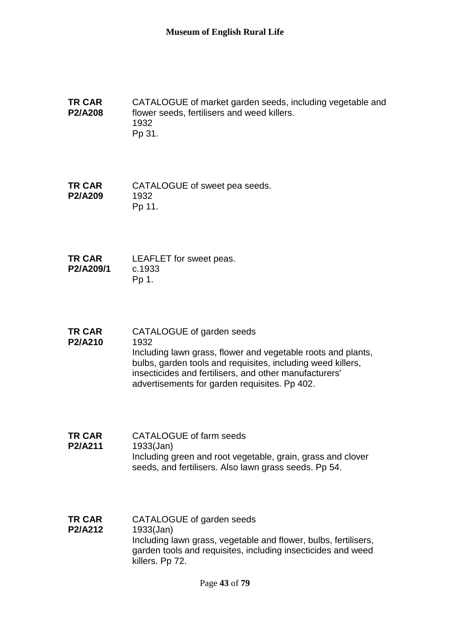**TR CAR P2/A208** CATALOGUE of market garden seeds, including vegetable and flower seeds, fertilisers and weed killers. 1932 Pp 31.

**TR CAR P2/A209** CATALOGUE of sweet pea seeds. 1932 Pp 11.

- **TR CAR P2/A209/1** LEAFLET for sweet peas. c.1933 Pp 1.
- **TR CAR P2/A210** CATALOGUE of garden seeds 1932 Including lawn grass, flower and vegetable roots and plants, bulbs, garden tools and requisites, including weed killers, insecticides and fertilisers, and other manufacturers' advertisements for garden requisites. Pp 402.
- **TR CAR P2/A211** CATALOGUE of farm seeds 1933(Jan) Including green and root vegetable, grain, grass and clover seeds, and fertilisers. Also lawn grass seeds. Pp 54.
- **TR CAR P2/A212** CATALOGUE of garden seeds 1933(Jan) Including lawn grass, vegetable and flower, bulbs, fertilisers, garden tools and requisites, including insecticides and weed killers. Pp 72.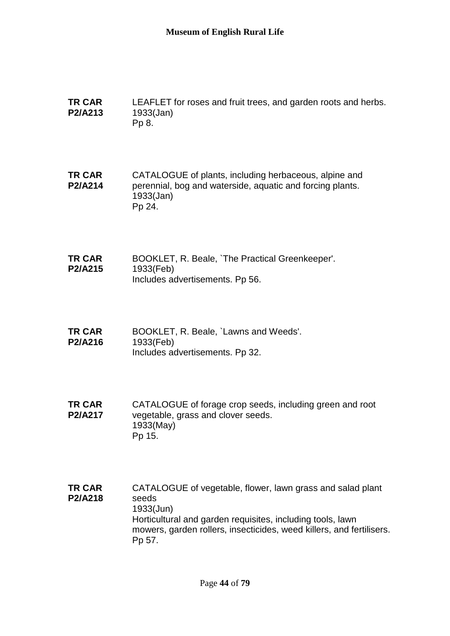| <b>TR CAR</b><br>P2/A213 | LEAFLET for roses and fruit trees, and garden roots and herbs.<br>$1933$ (Jan)<br>Pp 8.                                                                                                                                          |
|--------------------------|----------------------------------------------------------------------------------------------------------------------------------------------------------------------------------------------------------------------------------|
| <b>TR CAR</b><br>P2/A214 | CATALOGUE of plants, including herbaceous, alpine and<br>perennial, bog and waterside, aquatic and forcing plants.<br>1933(Jan)<br>Pp 24.                                                                                        |
| <b>TR CAR</b><br>P2/A215 | BOOKLET, R. Beale, `The Practical Greenkeeper'.<br>1933(Feb)<br>Includes advertisements. Pp 56.                                                                                                                                  |
| <b>TR CAR</b><br>P2/A216 | BOOKLET, R. Beale, `Lawns and Weeds'.<br>1933(Feb)<br>Includes advertisements. Pp 32.                                                                                                                                            |
| <b>TR CAR</b><br>P2/A217 | CATALOGUE of forage crop seeds, including green and root<br>vegetable, grass and clover seeds.<br>1933(May)<br>Pp 15.                                                                                                            |
| <b>TR CAR</b><br>P2/A218 | CATALOGUE of vegetable, flower, lawn grass and salad plant<br>seeds<br>1933(Jun)<br>Horticultural and garden requisites, including tools, lawn<br>mowers, garden rollers, insecticides, weed killers, and fertilisers.<br>Pp 57. |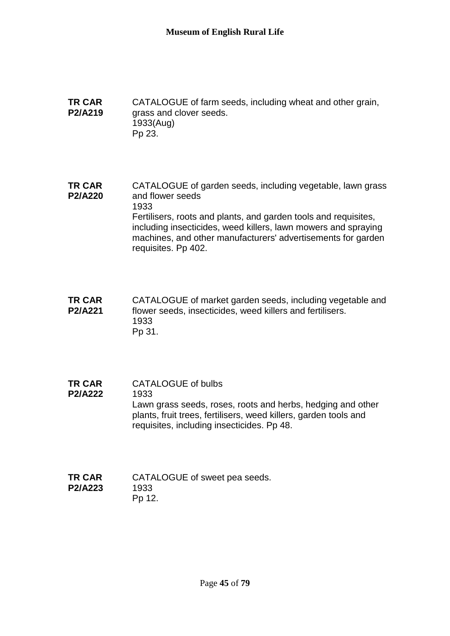#### **TR CAR P2/A219** CATALOGUE of farm seeds, including wheat and other grain, grass and clover seeds. 1933(Aug) Pp 23.

**TR CAR P2/A220** CATALOGUE of garden seeds, including vegetable, lawn grass and flower seeds 1933 Fertilisers, roots and plants, and garden tools and requisites, including insecticides, weed killers, lawn mowers and spraying machines, and other manufacturers' advertisements for garden requisites. Pp 402.

- **TR CAR P2/A221** CATALOGUE of market garden seeds, including vegetable and flower seeds, insecticides, weed killers and fertilisers. 1933 Pp 31.
- **TR CAR P2/A222** CATALOGUE of bulbs 1933 Lawn grass seeds, roses, roots and herbs, hedging and other plants, fruit trees, fertilisers, weed killers, garden tools and requisites, including insecticides. Pp 48.
- **TR CAR P2/A223** CATALOGUE of sweet pea seeds. 1933 Pp 12.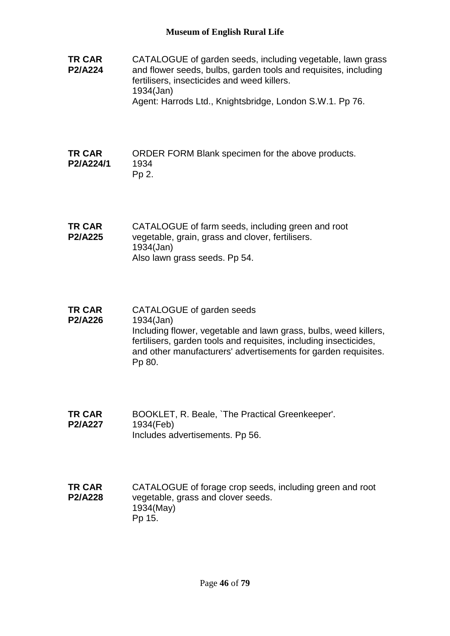**TR CAR P2/A224** CATALOGUE of garden seeds, including vegetable, lawn grass and flower seeds, bulbs, garden tools and requisites, including fertilisers, insecticides and weed killers. 1934(Jan) Agent: Harrods Ltd., Knightsbridge, London S.W.1. Pp 76.

#### **TR CAR P2/A224/1** ORDER FORM Blank specimen for the above products. 1934 Pp 2.

- **TR CAR P2/A225** CATALOGUE of farm seeds, including green and root vegetable, grain, grass and clover, fertilisers. 1934(Jan) Also lawn grass seeds. Pp 54.
- **TR CAR P2/A226** CATALOGUE of garden seeds 1934(Jan) Including flower, vegetable and lawn grass, bulbs, weed killers, fertilisers, garden tools and requisites, including insecticides, and other manufacturers' advertisements for garden requisites. Pp 80.
- **TR CAR P2/A227** BOOKLET, R. Beale, `The Practical Greenkeeper'. 1934(Feb) Includes advertisements. Pp 56.
- **TR CAR P2/A228** CATALOGUE of forage crop seeds, including green and root vegetable, grass and clover seeds. 1934(May) Pp 15.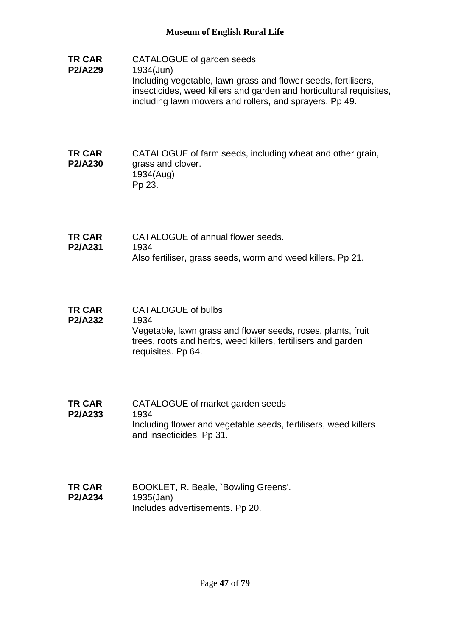**TR CAR P2/A229** CATALOGUE of garden seeds 1934(Jun) Including vegetable, lawn grass and flower seeds, fertilisers, insecticides, weed killers and garden and horticultural requisites, including lawn mowers and rollers, and sprayers. Pp 49.

#### **TR CAR P2/A230** CATALOGUE of farm seeds, including wheat and other grain, grass and clover. 1934(Aug) Pp 23.

- **TR CAR P2/A231** CATALOGUE of annual flower seeds. 1934 Also fertiliser, grass seeds, worm and weed killers. Pp 21.
- **TR CAR P2/A232** CATALOGUE of bulbs 1934 Vegetable, lawn grass and flower seeds, roses, plants, fruit trees, roots and herbs, weed killers, fertilisers and garden requisites. Pp 64.
- **TR CAR P2/A233** CATALOGUE of market garden seeds 1934 Including flower and vegetable seeds, fertilisers, weed killers and insecticides. Pp 31.
- **TR CAR P2/A234** BOOKLET, R. Beale, `Bowling Greens'. 1935(Jan) Includes advertisements. Pp 20.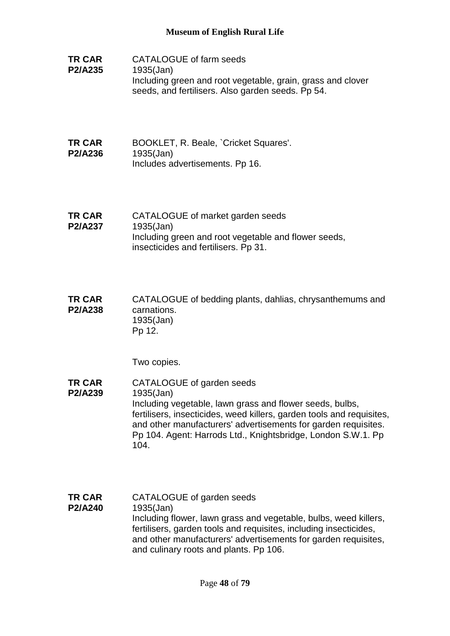- **TR CAR P2/A235** CATALOGUE of farm seeds 1935(Jan) Including green and root vegetable, grain, grass and clover seeds, and fertilisers. Also garden seeds. Pp 54.
- **TR CAR P2/A236** BOOKLET, R. Beale, `Cricket Squares'. 1935(Jan) Includes advertisements. Pp 16.
- **TR CAR P2/A237** CATALOGUE of market garden seeds 1935(Jan) Including green and root vegetable and flower seeds, insecticides and fertilisers. Pp 31.
- **TR CAR P2/A238** CATALOGUE of bedding plants, dahlias, chrysanthemums and carnations. 1935(Jan) Pp 12.

Two copies.

- **TR CAR P2/A239** CATALOGUE of garden seeds 1935(Jan) Including vegetable, lawn grass and flower seeds, bulbs, fertilisers, insecticides, weed killers, garden tools and requisites, and other manufacturers' advertisements for garden requisites. Pp 104. Agent: Harrods Ltd., Knightsbridge, London S.W.1. Pp 104.
- **TR CAR P2/A240** CATALOGUE of garden seeds 1935(Jan) Including flower, lawn grass and vegetable, bulbs, weed killers, fertilisers, garden tools and requisites, including insecticides, and other manufacturers' advertisements for garden requisites, and culinary roots and plants. Pp 106.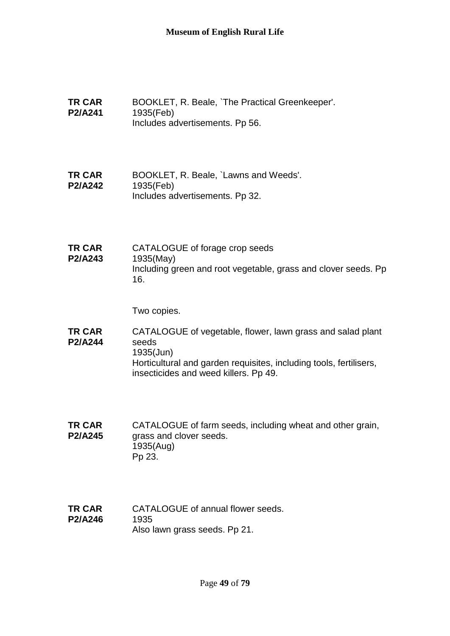- **TR CAR P2/A241** BOOKLET, R. Beale, `The Practical Greenkeeper'. 1935(Feb) Includes advertisements. Pp 56.
- **TR CAR P2/A242** BOOKLET, R. Beale, `Lawns and Weeds'. 1935(Feb) Includes advertisements. Pp 32.
- **TR CAR P2/A243** CATALOGUE of forage crop seeds 1935(May) Including green and root vegetable, grass and clover seeds. Pp 16.

Two copies.

- **TR CAR P2/A244** CATALOGUE of vegetable, flower, lawn grass and salad plant seeds 1935(Jun) Horticultural and garden requisites, including tools, fertilisers, insecticides and weed killers. Pp 49.
- **TR CAR P2/A245** CATALOGUE of farm seeds, including wheat and other grain, grass and clover seeds. 1935(Aug) Pp 23.
- **TR CAR P2/A246** CATALOGUE of annual flower seeds. 1935 Also lawn grass seeds. Pp 21.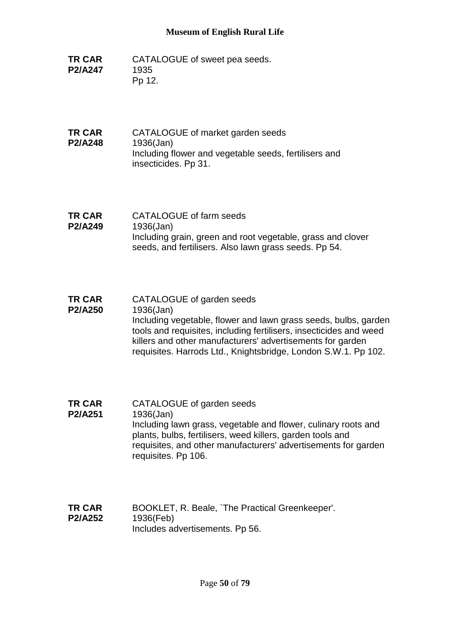- **TR CAR P2/A247** CATALOGUE of sweet pea seeds. 1935 Pp 12.
- **TR CAR P2/A248** CATALOGUE of market garden seeds 1936(Jan) Including flower and vegetable seeds, fertilisers and insecticides. Pp 31.
- **TR CAR P2/A249** CATALOGUE of farm seeds 1936(Jan) Including grain, green and root vegetable, grass and clover seeds, and fertilisers. Also lawn grass seeds. Pp 54.
- **TR CAR P2/A250** CATALOGUE of garden seeds 1936(Jan) Including vegetable, flower and lawn grass seeds, bulbs, garden tools and requisites, including fertilisers, insecticides and weed killers and other manufacturers' advertisements for garden requisites. Harrods Ltd., Knightsbridge, London S.W.1. Pp 102.
- **TR CAR P2/A251** CATALOGUE of garden seeds 1936(Jan) Including lawn grass, vegetable and flower, culinary roots and plants, bulbs, fertilisers, weed killers, garden tools and requisites, and other manufacturers' advertisements for garden requisites. Pp 106.
- **TR CAR P2/A252** BOOKLET, R. Beale, `The Practical Greenkeeper'. 1936(Feb) Includes advertisements. Pp 56.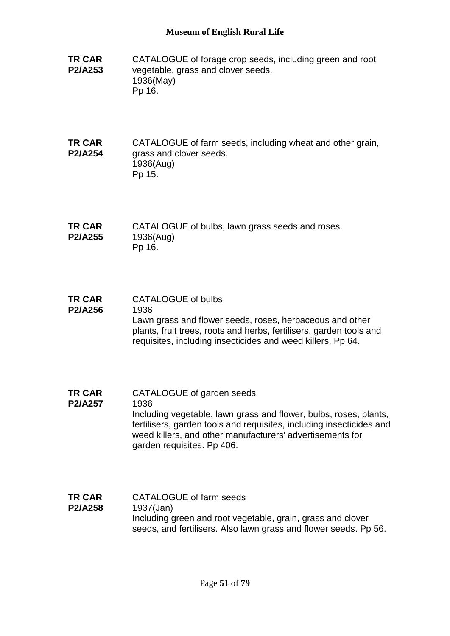- **TR CAR P2/A253** CATALOGUE of forage crop seeds, including green and root vegetable, grass and clover seeds. 1936(May) Pp 16.
- **TR CAR P2/A254** CATALOGUE of farm seeds, including wheat and other grain, grass and clover seeds. 1936(Aug) Pp 15.
- **TR CAR P2/A255** CATALOGUE of bulbs, lawn grass seeds and roses. 1936(Aug) Pp 16.
- **TR CAR P2/A256** CATALOGUE of bulbs 1936 Lawn grass and flower seeds, roses, herbaceous and other plants, fruit trees, roots and herbs, fertilisers, garden tools and requisites, including insecticides and weed killers. Pp 64.
- **TR CAR P2/A257** CATALOGUE of garden seeds 1936 Including vegetable, lawn grass and flower, bulbs, roses, plants, fertilisers, garden tools and requisites, including insecticides and weed killers, and other manufacturers' advertisements for garden requisites. Pp 406.
- **TR CAR P2/A258** CATALOGUE of farm seeds 1937(Jan) Including green and root vegetable, grain, grass and clover seeds, and fertilisers. Also lawn grass and flower seeds. Pp 56.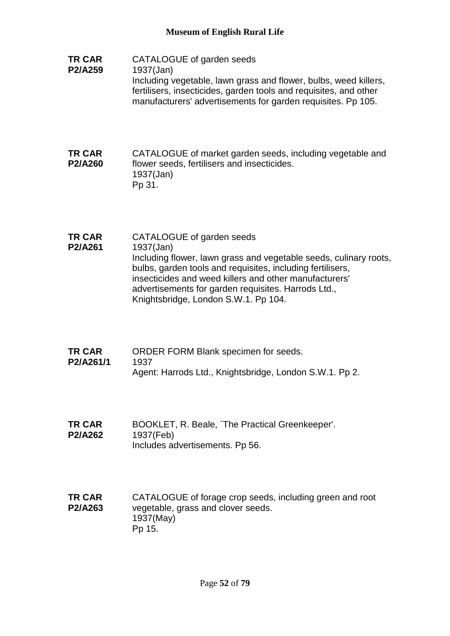**TR CAR P2/A259** CATALOGUE of garden seeds 1937(Jan) Including vegetable, lawn grass and flower, bulbs, weed killers, fertilisers, insecticides, garden tools and requisites, and other manufacturers' advertisements for garden requisites. Pp 105.

#### **TR CAR P2/A260** CATALOGUE of market garden seeds, including vegetable and flower seeds, fertilisers and insecticides. 1937(Jan) Pp 31.

- **TR CAR P2/A261** CATALOGUE of garden seeds 1937(Jan) Including flower, lawn grass and vegetable seeds, culinary roots, bulbs, garden tools and requisites, including fertilisers, insecticides and weed killers and other manufacturers' advertisements for garden requisites. Harrods Ltd., Knightsbridge, London S.W.1. Pp 104.
- **TR CAR P2/A261/1** ORDER FORM Blank specimen for seeds. 1937 Agent: Harrods Ltd., Knightsbridge, London S.W.1. Pp 2.
- **TR CAR P2/A262** BOOKLET, R. Beale, `The Practical Greenkeeper'. 1937(Feb) Includes advertisements. Pp 56.
- **TR CAR P2/A263** CATALOGUE of forage crop seeds, including green and root vegetable, grass and clover seeds. 1937(May) Pp 15.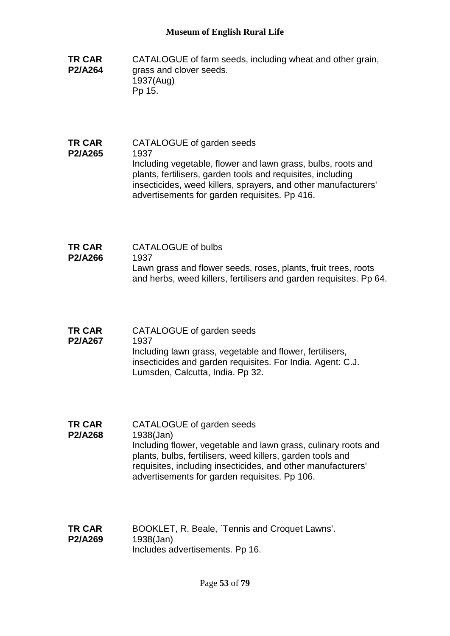- **TR CAR P2/A264** CATALOGUE of farm seeds, including wheat and other grain, grass and clover seeds. 1937(Aug) Pp 15.
- **TR CAR P2/A265** CATALOGUE of garden seeds 1937 Including vegetable, flower and lawn grass, bulbs, roots and plants, fertilisers, garden tools and requisites, including insecticides, weed killers, sprayers, and other manufacturers' advertisements for garden requisites. Pp 416.
- **TR CAR P2/A266** CATALOGUE of bulbs 1937 Lawn grass and flower seeds, roses, plants, fruit trees, roots and herbs, weed killers, fertilisers and garden requisites. Pp 64.
- **TR CAR P2/A267** CATALOGUE of garden seeds 1937 Including lawn grass, vegetable and flower, fertilisers, insecticides and garden requisites. For India. Agent: C.J. Lumsden, Calcutta, India. Pp 32.
- **TR CAR P2/A268** CATALOGUE of garden seeds 1938(Jan) Including flower, vegetable and lawn grass, culinary roots and plants, bulbs, fertilisers, weed killers, garden tools and requisites, including insecticides, and other manufacturers' advertisements for garden requisites. Pp 106.
- **TR CAR P2/A269** BOOKLET, R. Beale, `Tennis and Croquet Lawns'. 1938(Jan) Includes advertisements. Pp 16.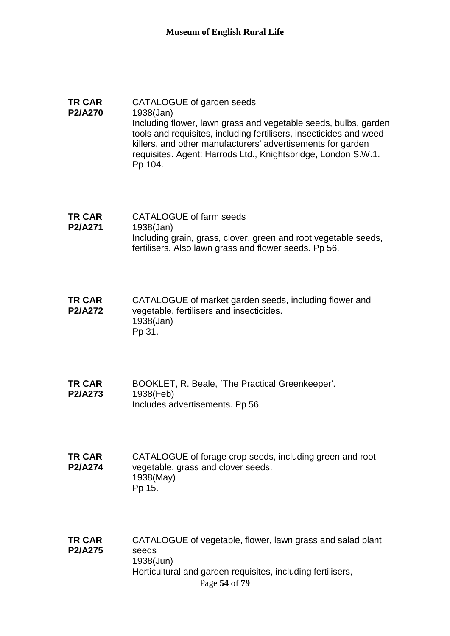#### **TR CAR P2/A270** CATALOGUE of garden seeds 1938(Jan) Including flower, lawn grass and vegetable seeds, bulbs, garden tools and requisites, including fertilisers, insecticides and weed killers, and other manufacturers' advertisements for garden requisites. Agent: Harrods Ltd., Knightsbridge, London S.W.1. Pp 104.

**TR CAR P2/A271** CATALOGUE of farm seeds 1938(Jan) Including grain, grass, clover, green and root vegetable seeds, fertilisers. Also lawn grass and flower seeds. Pp 56.

**TR CAR P2/A272** CATALOGUE of market garden seeds, including flower and vegetable, fertilisers and insecticides. 1938(Jan) Pp 31.

- **TR CAR P2/A273** BOOKLET, R. Beale, `The Practical Greenkeeper'. 1938(Feb) Includes advertisements. Pp 56.
- **TR CAR P2/A274** CATALOGUE of forage crop seeds, including green and root vegetable, grass and clover seeds. 1938(May) Pp 15.
- Page **54** of **79 TR CAR P2/A275** CATALOGUE of vegetable, flower, lawn grass and salad plant seeds 1938(Jun) Horticultural and garden requisites, including fertilisers,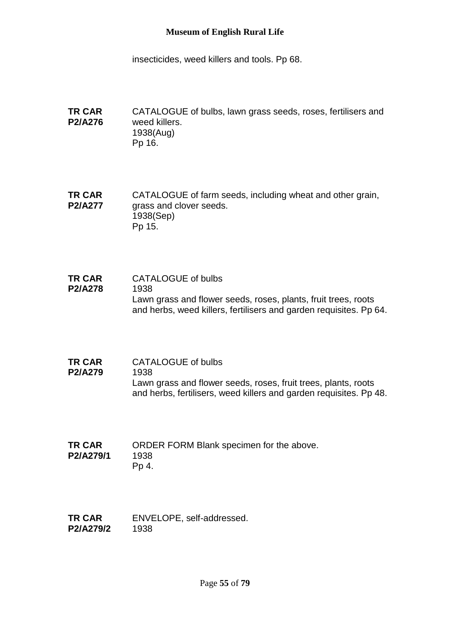insecticides, weed killers and tools. Pp 68.

**TR CAR P2/A276** CATALOGUE of bulbs, lawn grass seeds, roses, fertilisers and weed killers. 1938(Aug) Pp 16.

**TR CAR P2/A277** CATALOGUE of farm seeds, including wheat and other grain, grass and clover seeds. 1938(Sep) Pp 15.

- **TR CAR P2/A278** CATALOGUE of bulbs 1938 Lawn grass and flower seeds, roses, plants, fruit trees, roots and herbs, weed killers, fertilisers and garden requisites. Pp 64.
- **TR CAR**  CATALOGUE of bulbs
- **P2/A279** 1938 Lawn grass and flower seeds, roses, fruit trees, plants, roots and herbs, fertilisers, weed killers and garden requisites. Pp 48.
- **TR CAR P2/A279/1** ORDER FORM Blank specimen for the above. 1938 Pp 4.
- **TR CAR P2/A279/2** ENVELOPE, self-addressed. 1938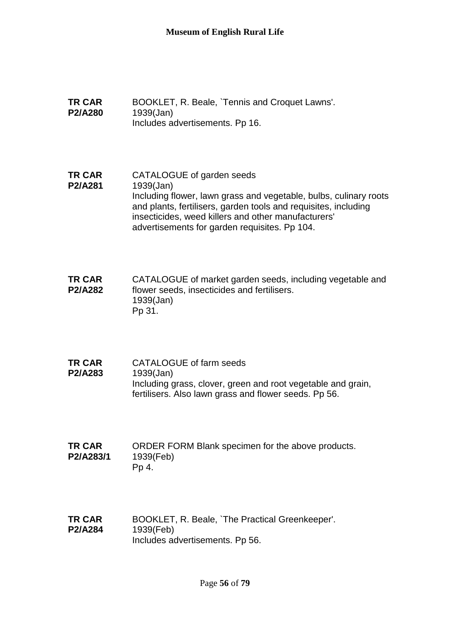- **TR CAR P2/A280** BOOKLET, R. Beale, `Tennis and Croquet Lawns'. 1939(Jan) Includes advertisements. Pp 16.
- **TR CAR P2/A281** CATALOGUE of garden seeds 1939(Jan) Including flower, lawn grass and vegetable, bulbs, culinary roots and plants, fertilisers, garden tools and requisites, including insecticides, weed killers and other manufacturers' advertisements for garden requisites. Pp 104.
- **TR CAR P2/A282** CATALOGUE of market garden seeds, including vegetable and flower seeds, insecticides and fertilisers. 1939(Jan) Pp 31.
- **TR CAR P2/A283** CATALOGUE of farm seeds 1939(Jan) Including grass, clover, green and root vegetable and grain, fertilisers. Also lawn grass and flower seeds. Pp 56.
- **TR CAR P2/A283/1** ORDER FORM Blank specimen for the above products. 1939(Feb) Pp 4.
- **TR CAR P2/A284** BOOKLET, R. Beale, `The Practical Greenkeeper'. 1939(Feb) Includes advertisements. Pp 56.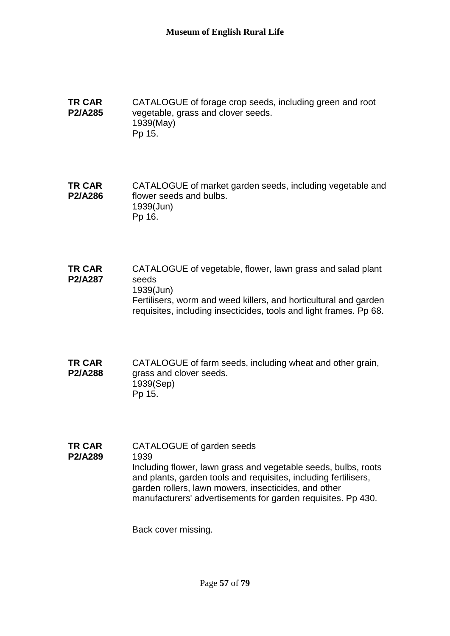**TR CAR P2/A285** CATALOGUE of forage crop seeds, including green and root vegetable, grass and clover seeds. 1939(May) Pp 15.

**TR CAR P2/A286** CATALOGUE of market garden seeds, including vegetable and flower seeds and bulbs. 1939(Jun) Pp 16.

- **TR CAR P2/A287** CATALOGUE of vegetable, flower, lawn grass and salad plant seeds 1939(Jun) Fertilisers, worm and weed killers, and horticultural and garden requisites, including insecticides, tools and light frames. Pp 68.
- **TR CAR P2/A288** CATALOGUE of farm seeds, including wheat and other grain, grass and clover seeds. 1939(Sep) Pp 15.

**TR CAR P2/A289** CATALOGUE of garden seeds 1939 Including flower, lawn grass and vegetable seeds, bulbs, roots and plants, garden tools and requisites, including fertilisers, garden rollers, lawn mowers, insecticides, and other manufacturers' advertisements for garden requisites. Pp 430.

Back cover missing.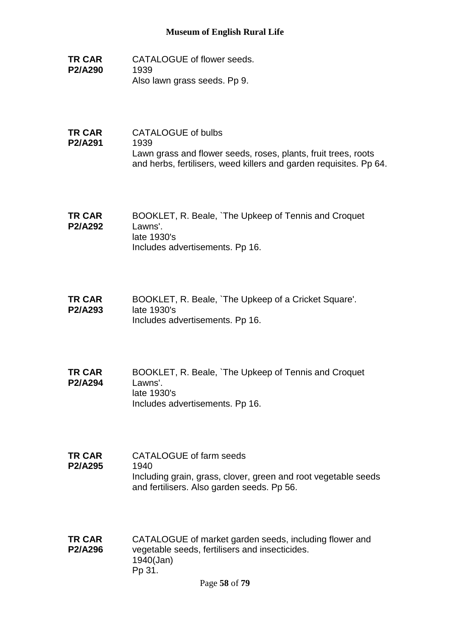- **TR CAR P2/A290** CATALOGUE of flower seeds. 1939 Also lawn grass seeds. Pp 9.
- **TR CAR P2/A291** CATALOGUE of bulbs 1939 Lawn grass and flower seeds, roses, plants, fruit trees, roots and herbs, fertilisers, weed killers and garden requisites. Pp 64.
- **TR CAR P2/A292** BOOKLET, R. Beale, `The Upkeep of Tennis and Croquet Lawns'. late 1930's Includes advertisements. Pp 16.
- **TR CAR P2/A293** BOOKLET, R. Beale, `The Upkeep of a Cricket Square'. late 1930's Includes advertisements. Pp 16.
- **TR CAR P2/A294** BOOKLET, R. Beale, `The Upkeep of Tennis and Croquet Lawns'. late 1930's Includes advertisements. Pp 16.
- **TR CAR P2/A295** CATALOGUE of farm seeds 1940 Including grain, grass, clover, green and root vegetable seeds and fertilisers. Also garden seeds. Pp 56.
- **TR CAR P2/A296** CATALOGUE of market garden seeds, including flower and vegetable seeds, fertilisers and insecticides. 1940(Jan) Pp 31.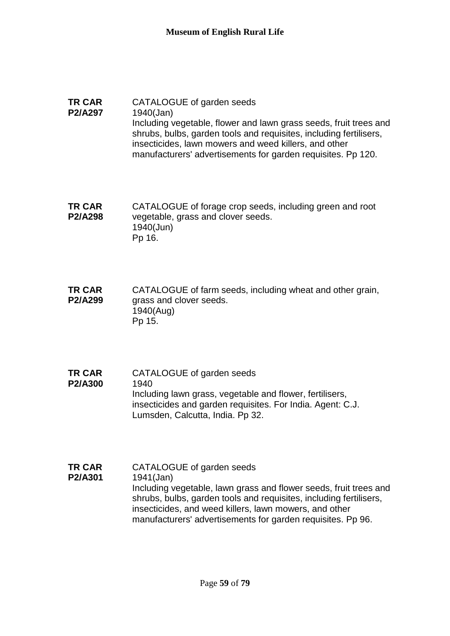#### **TR CAR P2/A297** CATALOGUE of garden seeds 1940(Jan) Including vegetable, flower and lawn grass seeds, fruit trees and shrubs, bulbs, garden tools and requisites, including fertilisers, insecticides, lawn mowers and weed killers, and other manufacturers' advertisements for garden requisites. Pp 120.

**TR CAR P2/A298** CATALOGUE of forage crop seeds, including green and root vegetable, grass and clover seeds. 1940(Jun) Pp 16.

**TR CAR P2/A299** CATALOGUE of farm seeds, including wheat and other grain, grass and clover seeds. 1940(Aug) Pp 15.

**TR CAR P2/A300** CATALOGUE of garden seeds 1940 Including lawn grass, vegetable and flower, fertilisers, insecticides and garden requisites. For India. Agent: C.J. Lumsden, Calcutta, India. Pp 32.

**TR CAR P2/A301** CATALOGUE of garden seeds 1941(Jan) Including vegetable, lawn grass and flower seeds, fruit trees and shrubs, bulbs, garden tools and requisites, including fertilisers, insecticides, and weed killers, lawn mowers, and other manufacturers' advertisements for garden requisites. Pp 96.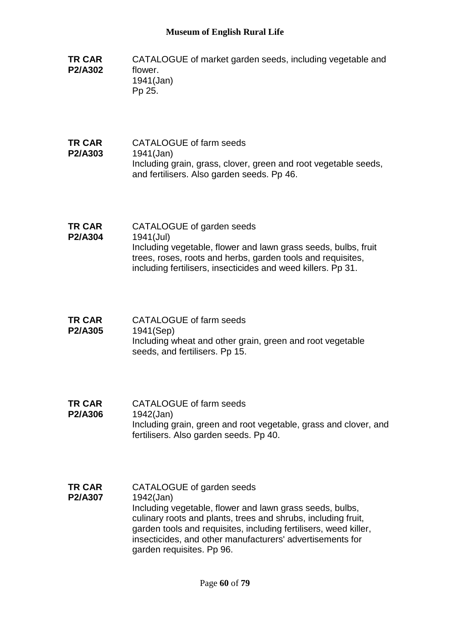- **TR CAR P2/A302** CATALOGUE of market garden seeds, including vegetable and flower. 1941(Jan) Pp 25.
- **TR CAR P2/A303** CATALOGUE of farm seeds 1941(Jan) Including grain, grass, clover, green and root vegetable seeds, and fertilisers. Also garden seeds. Pp 46.
- **TR CAR P2/A304** CATALOGUE of garden seeds 1941(Jul) Including vegetable, flower and lawn grass seeds, bulbs, fruit trees, roses, roots and herbs, garden tools and requisites, including fertilisers, insecticides and weed killers. Pp 31.
- **TR CAR P2/A305** CATALOGUE of farm seeds 1941(Sep) Including wheat and other grain, green and root vegetable seeds, and fertilisers. Pp 15.
- **TR CAR P2/A306** CATALOGUE of farm seeds 1942(Jan) Including grain, green and root vegetable, grass and clover, and fertilisers. Also garden seeds. Pp 40.
- **TR CAR P2/A307** CATALOGUE of garden seeds 1942(Jan) Including vegetable, flower and lawn grass seeds, bulbs, culinary roots and plants, trees and shrubs, including fruit, garden tools and requisites, including fertilisers, weed killer, insecticides, and other manufacturers' advertisements for garden requisites. Pp 96.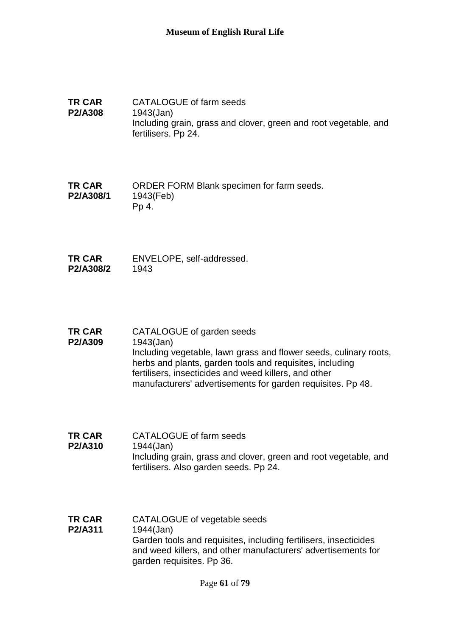**TR CAR P2/A308** CATALOGUE of farm seeds 1943(Jan) Including grain, grass and clover, green and root vegetable, and fertilisers. Pp 24.

**TR CAR P2/A308/1** ORDER FORM Blank specimen for farm seeds. 1943(Feb) Pp 4.

- **TR CAR P2/A308/2** ENVELOPE, self-addressed. 1943
- **TR CAR P2/A309** CATALOGUE of garden seeds 1943(Jan) Including vegetable, lawn grass and flower seeds, culinary roots, herbs and plants, garden tools and requisites, including fertilisers, insecticides and weed killers, and other manufacturers' advertisements for garden requisites. Pp 48.
- **TR CAR P2/A310** CATALOGUE of farm seeds 1944(Jan) Including grain, grass and clover, green and root vegetable, and fertilisers. Also garden seeds. Pp 24.
- **TR CAR P2/A311** CATALOGUE of vegetable seeds 1944(Jan) Garden tools and requisites, including fertilisers, insecticides and weed killers, and other manufacturers' advertisements for garden requisites. Pp 36.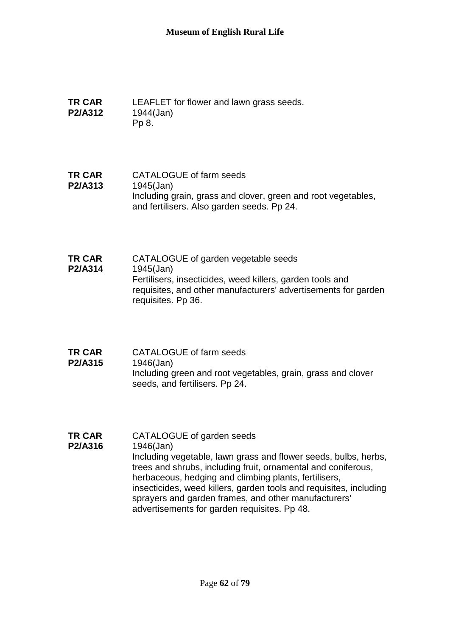- **TR CAR P2/A312** LEAFLET for flower and lawn grass seeds. 1944(Jan) Pp 8.
- **TR CAR P2/A313** CATALOGUE of farm seeds 1945(Jan) Including grain, grass and clover, green and root vegetables, and fertilisers. Also garden seeds. Pp 24.
- **TR CAR P2/A314** CATALOGUE of garden vegetable seeds 1945(Jan) Fertilisers, insecticides, weed killers, garden tools and requisites, and other manufacturers' advertisements for garden requisites. Pp 36.
- **TR CAR P2/A315** CATALOGUE of farm seeds 1946(Jan) Including green and root vegetables, grain, grass and clover seeds, and fertilisers. Pp 24.
- **TR CAR P2/A316** CATALOGUE of garden seeds 1946(Jan) Including vegetable, lawn grass and flower seeds, bulbs, herbs, trees and shrubs, including fruit, ornamental and coniferous, herbaceous, hedging and climbing plants, fertilisers, insecticides, weed killers, garden tools and requisites, including sprayers and garden frames, and other manufacturers' advertisements for garden requisites. Pp 48.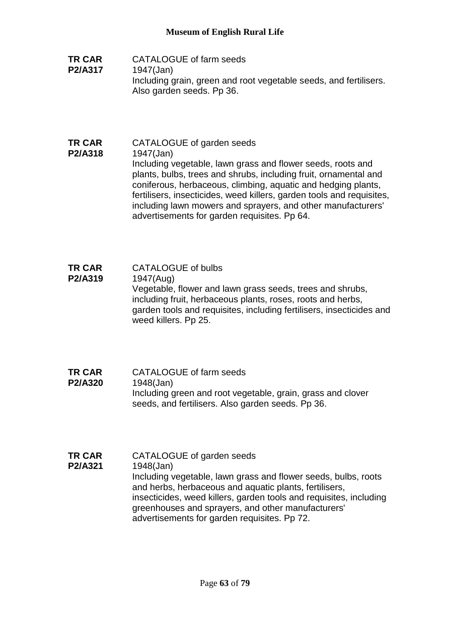- **TR CAR P2/A317** CATALOGUE of farm seeds 1947(Jan) Including grain, green and root vegetable seeds, and fertilisers. Also garden seeds. Pp 36.
- **TR CAR P2/A318** CATALOGUE of garden seeds 1947(Jan) Including vegetable, lawn grass and flower seeds, roots and plants, bulbs, trees and shrubs, including fruit, ornamental and coniferous, herbaceous, climbing, aquatic and hedging plants, fertilisers, insecticides, weed killers, garden tools and requisites, including lawn mowers and sprayers, and other manufacturers' advertisements for garden requisites. Pp 64.
- **TR CAR P2/A319** CATALOGUE of bulbs 1947(Aug) Vegetable, flower and lawn grass seeds, trees and shrubs, including fruit, herbaceous plants, roses, roots and herbs, garden tools and requisites, including fertilisers, insecticides and weed killers. Pp 25.
- **TR CAR P2/A320** CATALOGUE of farm seeds 1948(Jan) Including green and root vegetable, grain, grass and clover seeds, and fertilisers. Also garden seeds. Pp 36.
- **TR CAR P2/A321** CATALOGUE of garden seeds 1948(Jan) Including vegetable, lawn grass and flower seeds, bulbs, roots and herbs, herbaceous and aquatic plants, fertilisers, insecticides, weed killers, garden tools and requisites, including greenhouses and sprayers, and other manufacturers' advertisements for garden requisites. Pp 72.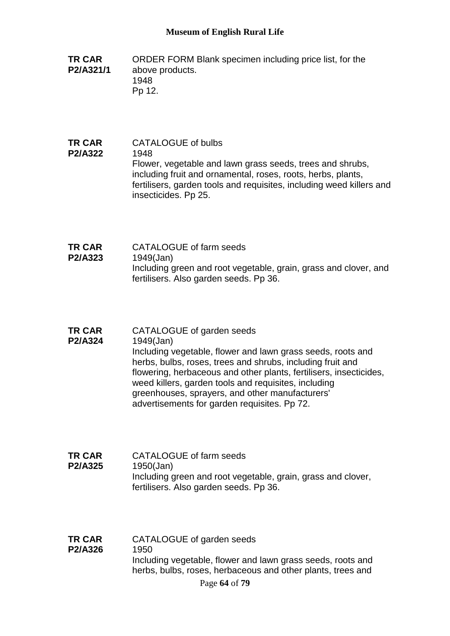- **TR CAR P2/A321/1** ORDER FORM Blank specimen including price list, for the above products. 1948 Pp 12.
- **TR CAR P2/A322** CATALOGUE of bulbs 1948 Flower, vegetable and lawn grass seeds, trees and shrubs, including fruit and ornamental, roses, roots, herbs, plants, fertilisers, garden tools and requisites, including weed killers and insecticides. Pp 25.
- **TR CAR P2/A323** CATALOGUE of farm seeds 1949(Jan) Including green and root vegetable, grain, grass and clover, and fertilisers. Also garden seeds. Pp 36.
- **TR CAR P2/A324** CATALOGUE of garden seeds 1949(Jan)

Including vegetable, flower and lawn grass seeds, roots and herbs, bulbs, roses, trees and shrubs, including fruit and flowering, herbaceous and other plants, fertilisers, insecticides, weed killers, garden tools and requisites, including greenhouses, sprayers, and other manufacturers' advertisements for garden requisites. Pp 72.

- **TR CAR P2/A325** CATALOGUE of farm seeds 1950(Jan) Including green and root vegetable, grain, grass and clover, fertilisers. Also garden seeds. Pp 36.
- Page **64** of **79 TR CAR P2/A326** CATALOGUE of garden seeds 1950 Including vegetable, flower and lawn grass seeds, roots and herbs, bulbs, roses, herbaceous and other plants, trees and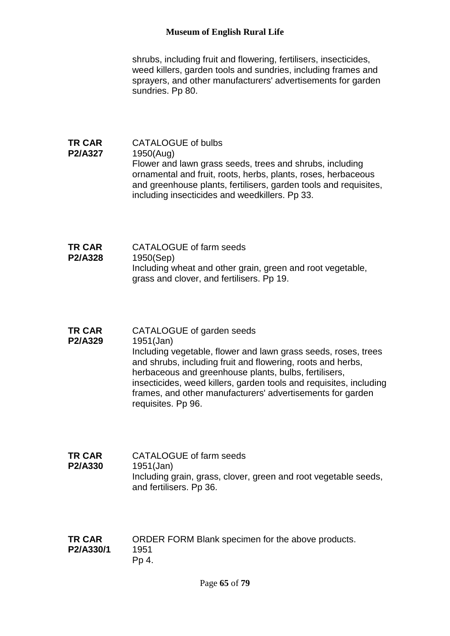shrubs, including fruit and flowering, fertilisers, insecticides, weed killers, garden tools and sundries, including frames and sprayers, and other manufacturers' advertisements for garden sundries. Pp 80.

- **TR CAR P2/A327** CATALOGUE of bulbs 1950(Aug) Flower and lawn grass seeds, trees and shrubs, including ornamental and fruit, roots, herbs, plants, roses, herbaceous and greenhouse plants, fertilisers, garden tools and requisites, including insecticides and weedkillers. Pp 33.
- **TR CAR P2/A328** CATALOGUE of farm seeds 1950(Sep) Including wheat and other grain, green and root vegetable, grass and clover, and fertilisers. Pp 19.
- **TR CAR P2/A329** CATALOGUE of garden seeds 1951(Jan) Including vegetable, flower and lawn grass seeds, roses, trees and shrubs, including fruit and flowering, roots and herbs, herbaceous and greenhouse plants, bulbs, fertilisers, insecticides, weed killers, garden tools and requisites, including frames, and other manufacturers' advertisements for garden requisites. Pp 96.
- **TR CAR P2/A330** CATALOGUE of farm seeds 1951(Jan) Including grain, grass, clover, green and root vegetable seeds, and fertilisers. Pp 36.
- **TR CAR P2/A330/1** ORDER FORM Blank specimen for the above products. 1951 Pp 4.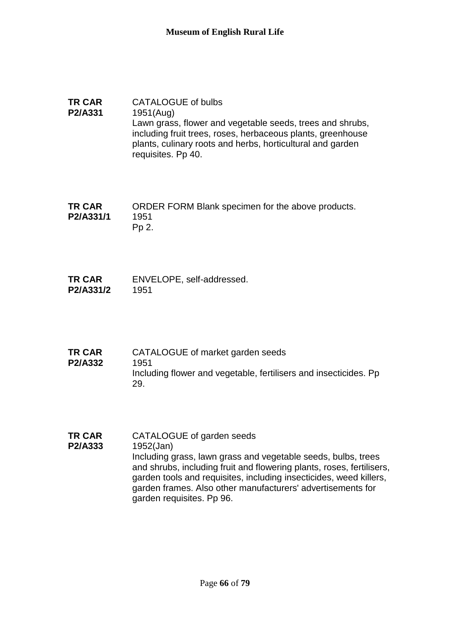- **TR CAR P2/A331** CATALOGUE of bulbs 1951(Aug) Lawn grass, flower and vegetable seeds, trees and shrubs, including fruit trees, roses, herbaceous plants, greenhouse plants, culinary roots and herbs, horticultural and garden requisites. Pp 40.
- **TR CAR P2/A331/1** ORDER FORM Blank specimen for the above products. 1951 Pp 2.
- **TR CAR P2/A331/2** ENVELOPE, self-addressed. 1951
- **TR CAR P2/A332** CATALOGUE of market garden seeds 1951 Including flower and vegetable, fertilisers and insecticides. Pp 29.
- **TR CAR P2/A333** CATALOGUE of garden seeds 1952(Jan) Including grass, lawn grass and vegetable seeds, bulbs, trees and shrubs, including fruit and flowering plants, roses, fertilisers, garden tools and requisites, including insecticides, weed killers, garden frames. Also other manufacturers' advertisements for garden requisites. Pp 96.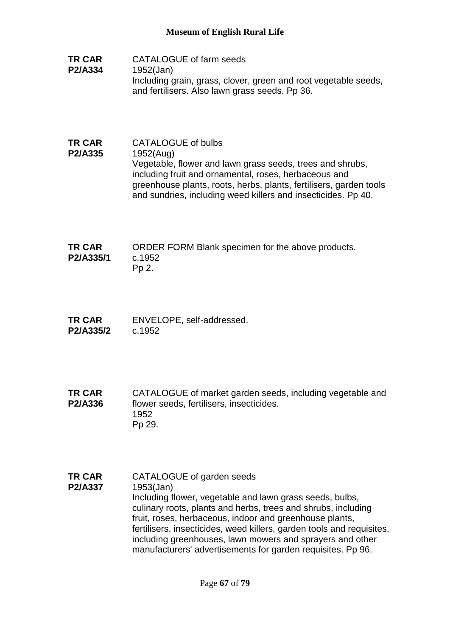- **TR CAR P2/A334** CATALOGUE of farm seeds 1952(Jan) Including grain, grass, clover, green and root vegetable seeds, and fertilisers. Also lawn grass seeds. Pp 36.
- **TR CAR P2/A335** CATALOGUE of bulbs 1952(Aug) Vegetable, flower and lawn grass seeds, trees and shrubs, including fruit and ornamental, roses, herbaceous and greenhouse plants, roots, herbs, plants, fertilisers, garden tools and sundries, including weed killers and insecticides. Pp 40.

| <b>TR CAR</b> | ORDER FORM Blank specimen for the above products. |
|---------------|---------------------------------------------------|
| P2/A335/1     | c.1952                                            |
|               | Pp 2.                                             |

**TR CAR P2/A335/2** ENVELOPE, self-addressed. c.1952

**TR CAR P2/A336** CATALOGUE of market garden seeds, including vegetable and flower seeds, fertilisers, insecticides. 1952 Pp 29.

**TR CAR P2/A337** CATALOGUE of garden seeds 1953(Jan) Including flower, vegetable and lawn grass seeds, bulbs, culinary roots, plants and herbs, trees and shrubs, including fruit, roses, herbaceous, indoor and greenhouse plants, fertilisers, insecticides, weed killers, garden tools and requisites, including greenhouses, lawn mowers and sprayers and other manufacturers' advertisements for garden requisites. Pp 96.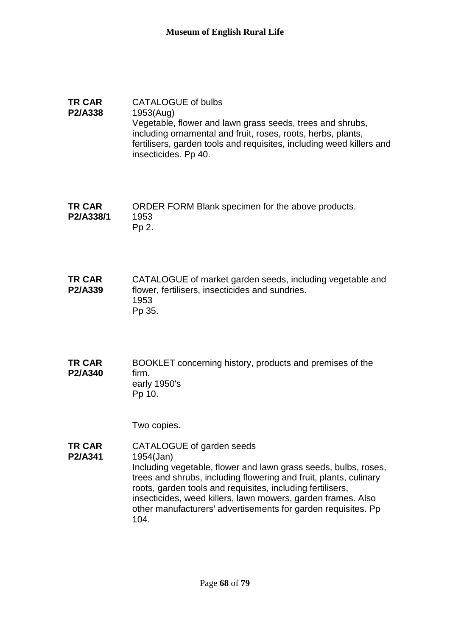#### **TR CAR P2/A338** CATALOGUE of bulbs 1953(Aug) Vegetable, flower and lawn grass seeds, trees and shrubs, including ornamental and fruit, roses, roots, herbs, plants, fertilisers, garden tools and requisites, including weed killers and insecticides. Pp 40.

**TR CAR P2/A338/1** ORDER FORM Blank specimen for the above products. 1953 Pp 2.

**TR CAR P2/A339** CATALOGUE of market garden seeds, including vegetable and flower, fertilisers, insecticides and sundries. 1953 Pp 35.

**TR CAR P2/A340** BOOKLET concerning history, products and premises of the firm. early 1950's Pp 10.

Two copies.

**TR CAR P2/A341** CATALOGUE of garden seeds 1954(Jan) Including vegetable, flower and lawn grass seeds, bulbs, roses, trees and shrubs, including flowering and fruit, plants, culinary roots, garden tools and requisites, including fertilisers, insecticides, weed killers, lawn mowers, garden frames. Also other manufacturers' advertisements for garden requisites. Pp 104.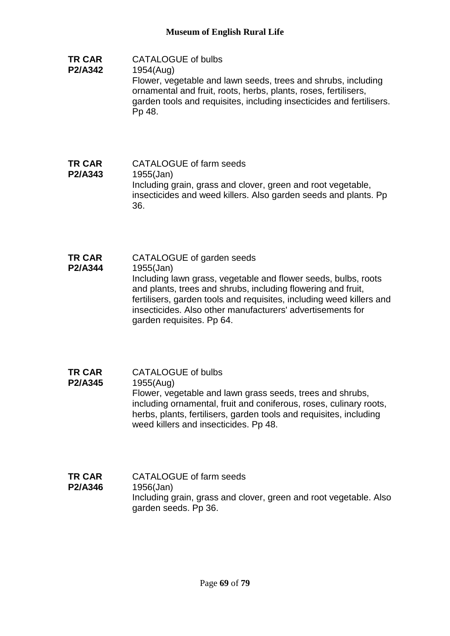**TR CAR P2/A342** CATALOGUE of bulbs 1954(Aug)

Flower, vegetable and lawn seeds, trees and shrubs, including ornamental and fruit, roots, herbs, plants, roses, fertilisers, garden tools and requisites, including insecticides and fertilisers. Pp 48.

- **TR CAR P2/A343** CATALOGUE of farm seeds 1955(Jan) Including grain, grass and clover, green and root vegetable, insecticides and weed killers. Also garden seeds and plants. Pp 36.
- **TR CAR P2/A344** CATALOGUE of garden seeds 1955(Jan) Including lawn grass, vegetable and flower seeds, bulbs, roots and plants, trees and shrubs, including flowering and fruit, fertilisers, garden tools and requisites, including weed killers and insecticides. Also other manufacturers' advertisements for garden requisites. Pp 64.
- **TR CAR P2/A345** CATALOGUE of bulbs 1955(Aug) Flower, vegetable and lawn grass seeds, trees and shrubs, including ornamental, fruit and coniferous, roses, culinary roots, herbs, plants, fertilisers, garden tools and requisites, including weed killers and insecticides. Pp 48.
- **TR CAR P2/A346** CATALOGUE of farm seeds 1956(Jan) Including grain, grass and clover, green and root vegetable. Also garden seeds. Pp 36.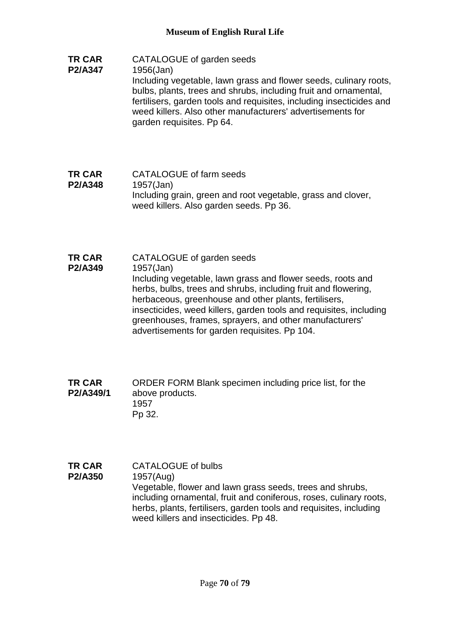- **TR CAR P2/A347** CATALOGUE of garden seeds 1956(Jan) Including vegetable, lawn grass and flower seeds, culinary roots, bulbs, plants, trees and shrubs, including fruit and ornamental, fertilisers, garden tools and requisites, including insecticides and weed killers. Also other manufacturers' advertisements for garden requisites. Pp 64.
- **TR CAR P2/A348** CATALOGUE of farm seeds 1957(Jan) Including grain, green and root vegetable, grass and clover, weed killers. Also garden seeds. Pp 36.
- **TR CAR P2/A349** CATALOGUE of garden seeds 1957(Jan) Including vegetable, lawn grass and flower seeds, roots and herbs, bulbs, trees and shrubs, including fruit and flowering, herbaceous, greenhouse and other plants, fertilisers, insecticides, weed killers, garden tools and requisites, including greenhouses, frames, sprayers, and other manufacturers' advertisements for garden requisites. Pp 104.
- **TR CAR P2/A349/1** ORDER FORM Blank specimen including price list, for the above products. 1957 Pp 32.
- **TR CAR P2/A350** CATALOGUE of bulbs 1957(Aug) Vegetable, flower and lawn grass seeds, trees and shrubs, including ornamental, fruit and coniferous, roses, culinary roots, herbs, plants, fertilisers, garden tools and requisites, including weed killers and insecticides. Pp 48.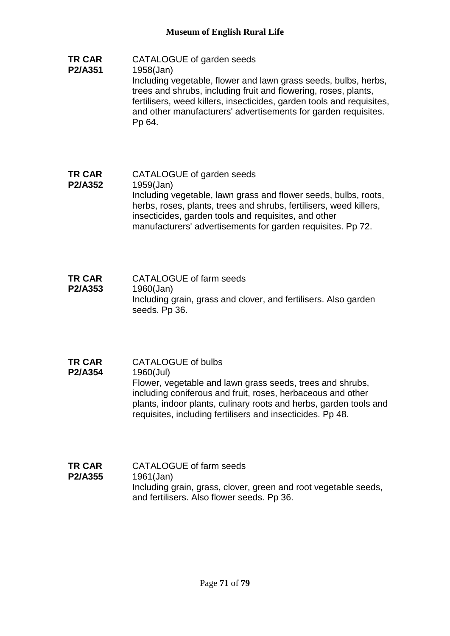- **TR CAR P2/A351** CATALOGUE of garden seeds 1958(Jan) Including vegetable, flower and lawn grass seeds, bulbs, herbs, trees and shrubs, including fruit and flowering, roses, plants, fertilisers, weed killers, insecticides, garden tools and requisites, and other manufacturers' advertisements for garden requisites. Pp 64.
- **TR CAR P2/A352** CATALOGUE of garden seeds 1959(Jan) Including vegetable, lawn grass and flower seeds, bulbs, roots, herbs, roses, plants, trees and shrubs, fertilisers, weed killers, insecticides, garden tools and requisites, and other manufacturers' advertisements for garden requisites. Pp 72.
- **TR CAR P2/A353** CATALOGUE of farm seeds 1960(Jan) Including grain, grass and clover, and fertilisers. Also garden seeds. Pp 36.
- **TR CAR P2/A354** CATALOGUE of bulbs 1960(Jul) Flower, vegetable and lawn grass seeds, trees and shrubs, including coniferous and fruit, roses, herbaceous and other plants, indoor plants, culinary roots and herbs, garden tools and requisites, including fertilisers and insecticides. Pp 48.
- **TR CAR P2/A355** CATALOGUE of farm seeds 1961(Jan) Including grain, grass, clover, green and root vegetable seeds, and fertilisers. Also flower seeds. Pp 36.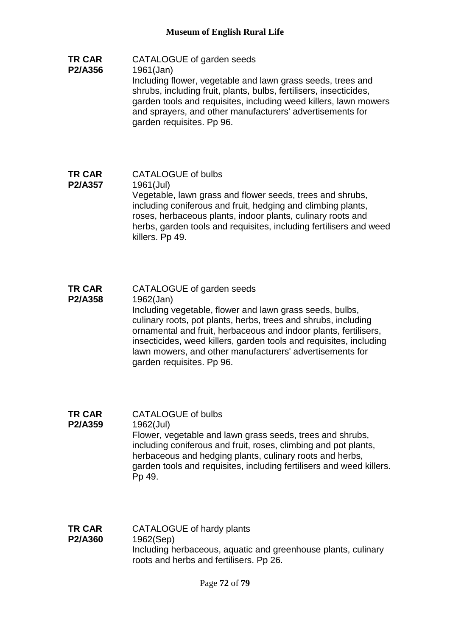- **TR CAR P2/A356** CATALOGUE of garden seeds 1961(Jan) Including flower, vegetable and lawn grass seeds, trees and shrubs, including fruit, plants, bulbs, fertilisers, insecticides, garden tools and requisites, including weed killers, lawn mowers and sprayers, and other manufacturers' advertisements for garden requisites. Pp 96.
- **TR CAR P2/A357** CATALOGUE of bulbs 1961(Jul) Vegetable, lawn grass and flower seeds, trees and shrubs, including coniferous and fruit, hedging and climbing plants, roses, herbaceous plants, indoor plants, culinary roots and herbs, garden tools and requisites, including fertilisers and weed killers. Pp 49.
- **TR CAR P2/A358** CATALOGUE of garden seeds 1962(Jan) Including vegetable, flower and lawn grass seeds, bulbs, culinary roots, pot plants, herbs, trees and shrubs, including ornamental and fruit, herbaceous and indoor plants, fertilisers, insecticides, weed killers, garden tools and requisites, including lawn mowers, and other manufacturers' advertisements for garden requisites. Pp 96.
- **TR CAR P2/A359** CATALOGUE of bulbs 1962(Jul) Flower, vegetable and lawn grass seeds, trees and shrubs, including coniferous and fruit, roses, climbing and pot plants, herbaceous and hedging plants, culinary roots and herbs, garden tools and requisites, including fertilisers and weed killers. Pp 49.
- **TR CAR P2/A360** CATALOGUE of hardy plants 1962(Sep) Including herbaceous, aquatic and greenhouse plants, culinary roots and herbs and fertilisers. Pp 26.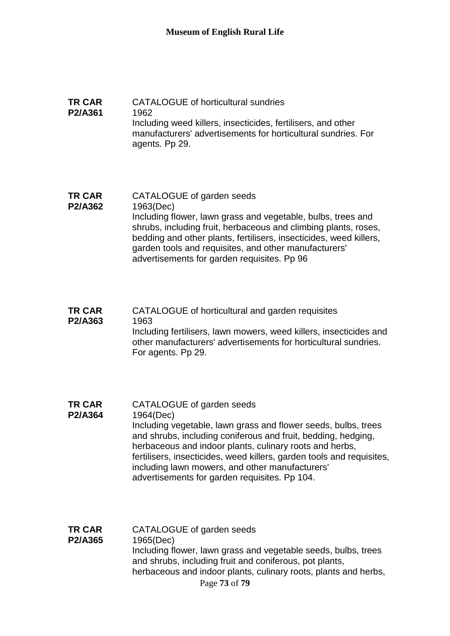## **TR CAR P2/A361** CATALOGUE of horticultural sundries 1962 Including weed killers, insecticides, fertilisers, and other manufacturers' advertisements for horticultural sundries. For agents. Pp 29.

## **TR CAR P2/A362** CATALOGUE of garden seeds 1963(Dec) Including flower, lawn grass and vegetable, bulbs, trees and shrubs, including fruit, herbaceous and climbing plants, roses, bedding and other plants, fertilisers, insecticides, weed killers, garden tools and requisites, and other manufacturers' advertisements for garden requisites. Pp 96

### **TR CAR P2/A363** CATALOGUE of horticultural and garden requisites 1963 Including fertilisers, lawn mowers, weed killers, insecticides and other manufacturers' advertisements for horticultural sundries. For agents. Pp 29.

#### **TR CAR**  CATALOGUE of garden seeds

- **P2/A364** 1964(Dec) Including vegetable, lawn grass and flower seeds, bulbs, trees and shrubs, including coniferous and fruit, bedding, hedging, herbaceous and indoor plants, culinary roots and herbs, fertilisers, insecticides, weed killers, garden tools and requisites, including lawn mowers, and other manufacturers' advertisements for garden requisites. Pp 104.
- Page **73** of **79 TR CAR P2/A365** CATALOGUE of garden seeds 1965(Dec) Including flower, lawn grass and vegetable seeds, bulbs, trees and shrubs, including fruit and coniferous, pot plants, herbaceous and indoor plants, culinary roots, plants and herbs,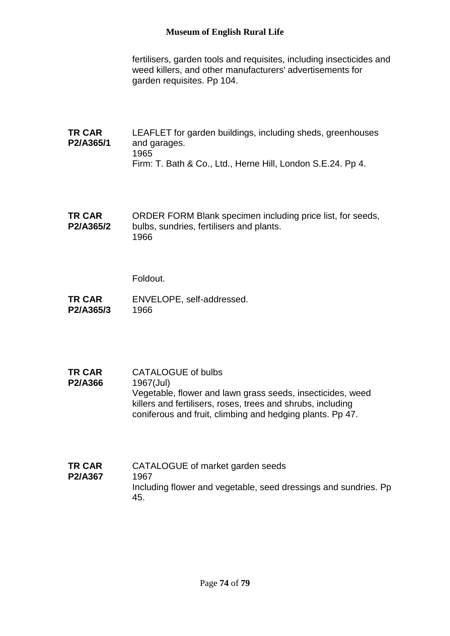fertilisers, garden tools and requisites, including insecticides and weed killers, and other manufacturers' advertisements for garden requisites. Pp 104.

- **TR CAR P2/A365/1** LEAFLET for garden buildings, including sheds, greenhouses and garages. 1965 Firm: T. Bath & Co., Ltd., Herne Hill, London S.E.24. Pp 4.
- **TR CAR P2/A365/2** ORDER FORM Blank specimen including price list, for seeds, bulbs, sundries, fertilisers and plants. 1966

Foldout.

- **TR CAR P2/A365/3** ENVELOPE, self-addressed. 1966
- **TR CAR P2/A366** CATALOGUE of bulbs 1967(Jul) Vegetable, flower and lawn grass seeds, insecticides, weed killers and fertilisers, roses, trees and shrubs, including coniferous and fruit, climbing and hedging plants. Pp 47.
- **TR CAR P2/A367** CATALOGUE of market garden seeds 1967 Including flower and vegetable, seed dressings and sundries. Pp 45.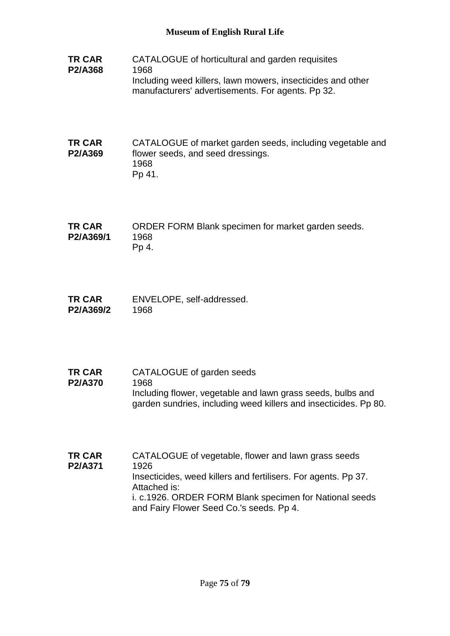- **TR CAR P2/A368** CATALOGUE of horticultural and garden requisites 1968 Including weed killers, lawn mowers, insecticides and other manufacturers' advertisements. For agents. Pp 32.
- **TR CAR P2/A369** CATALOGUE of market garden seeds, including vegetable and flower seeds, and seed dressings. 1968 Pp 41.
- **TR CAR P2/A369/1** ORDER FORM Blank specimen for market garden seeds. 1968 Pp 4.
- **TR CAR P2/A369/2** ENVELOPE, self-addressed. 1968
- **TR CAR P2/A370** CATALOGUE of garden seeds 1968 Including flower, vegetable and lawn grass seeds, bulbs and garden sundries, including weed killers and insecticides. Pp 80.
- **TR CAR P2/A371** CATALOGUE of vegetable, flower and lawn grass seeds 1926 Insecticides, weed killers and fertilisers. For agents. Pp 37. Attached is: i. c.1926. ORDER FORM Blank specimen for National seeds and Fairy Flower Seed Co.'s seeds. Pp 4.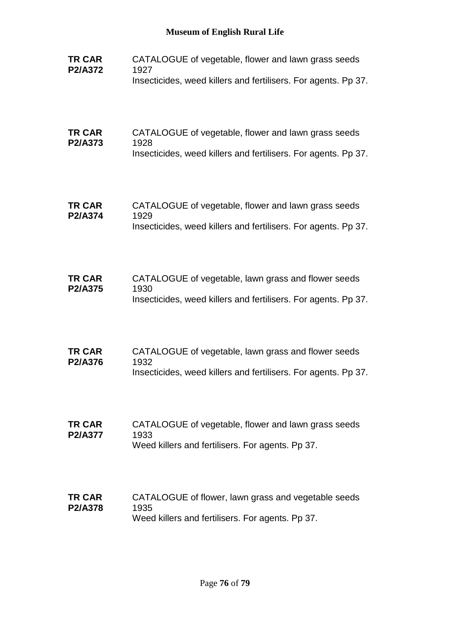| <b>TR CAR</b><br>P2/A372 | CATALOGUE of vegetable, flower and lawn grass seeds<br>1927<br>Insecticides, weed killers and fertilisers. For agents. Pp 37. |
|--------------------------|-------------------------------------------------------------------------------------------------------------------------------|
| <b>TR CAR</b><br>P2/A373 | CATALOGUE of vegetable, flower and lawn grass seeds<br>1928<br>Insecticides, weed killers and fertilisers. For agents. Pp 37. |
| <b>TR CAR</b><br>P2/A374 | CATALOGUE of vegetable, flower and lawn grass seeds<br>1929<br>Insecticides, weed killers and fertilisers. For agents. Pp 37. |
| <b>TR CAR</b><br>P2/A375 | CATALOGUE of vegetable, lawn grass and flower seeds<br>1930<br>Insecticides, weed killers and fertilisers. For agents. Pp 37. |
| <b>TR CAR</b><br>P2/A376 | CATALOGUE of vegetable, lawn grass and flower seeds<br>1932<br>Insecticides, weed killers and fertilisers. For agents. Pp 37. |
| <b>TR CAR</b><br>P2/A377 | CATALOGUE of vegetable, flower and lawn grass seeds<br>1933<br>Weed killers and fertilisers. For agents. Pp 37.               |
| <b>TR CAR</b><br>P2/A378 | CATALOGUE of flower, lawn grass and vegetable seeds<br>1935<br>Weed killers and fertilisers. For agents. Pp 37.               |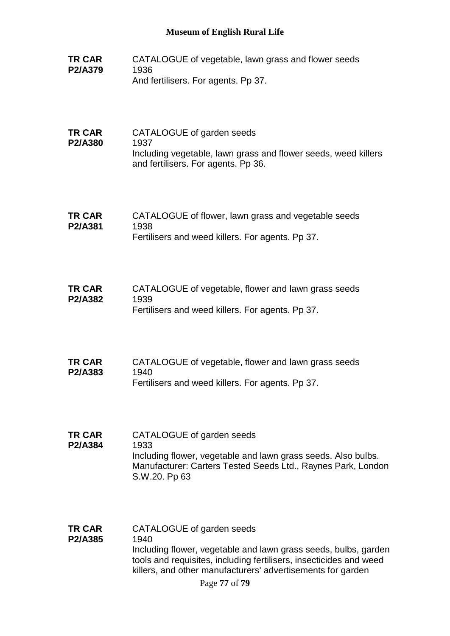- **TR CAR P2/A379** CATALOGUE of vegetable, lawn grass and flower seeds 1936 And fertilisers. For agents. Pp 37.
- **TR CAR P2/A380** CATALOGUE of garden seeds 1937 Including vegetable, lawn grass and flower seeds, weed killers and fertilisers. For agents. Pp 36.
- **TR CAR P2/A381** CATALOGUE of flower, lawn grass and vegetable seeds 1938 Fertilisers and weed killers. For agents. Pp 37.
- **TR CAR P2/A382** CATALOGUE of vegetable, flower and lawn grass seeds 1939 Fertilisers and weed killers. For agents. Pp 37.
- **TR CAR P2/A383** CATALOGUE of vegetable, flower and lawn grass seeds 1940 Fertilisers and weed killers. For agents. Pp 37.
- **TR CAR P2/A384** CATALOGUE of garden seeds 1933 Including flower, vegetable and lawn grass seeds. Also bulbs. Manufacturer: Carters Tested Seeds Ltd., Raynes Park, London S.W.20. Pp 63
- **TR CAR P2/A385** CATALOGUE of garden seeds 1940 Including flower, vegetable and lawn grass seeds, bulbs, garden tools and requisites, including fertilisers, insecticides and weed killers, and other manufacturers' advertisements for garden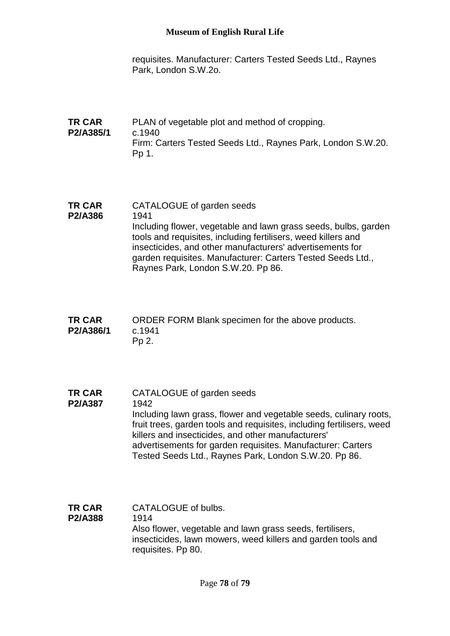requisites. Manufacturer: Carters Tested Seeds Ltd., Raynes Park, London S.W.2o.

- **TR CAR P2/A385/1** PLAN of vegetable plot and method of cropping. c.1940 Firm: Carters Tested Seeds Ltd., Raynes Park, London S.W.20. Pp 1.
- **TR CAR P2/A386** CATALOGUE of garden seeds 1941 Including flower, vegetable and lawn grass seeds, bulbs, garden tools and requisites, including fertilisers, weed killers and insecticides, and other manufacturers' advertisements for garden requisites. Manufacturer: Carters Tested Seeds Ltd., Raynes Park, London S.W.20. Pp 86.
- **TR CAR P2/A386/1** ORDER FORM Blank specimen for the above products. c.1941 Pp 2.
- **TR CAR P2/A387** CATALOGUE of garden seeds 1942 Including lawn grass, flower and vegetable seeds, culinary roots, fruit trees, garden tools and requisites, including fertilisers, weed killers and insecticides, and other manufacturers' advertisements for garden requisites. Manufacturer: Carters Tested Seeds Ltd., Raynes Park, London S.W.20. Pp 86.
- **TR CAR P2/A388** CATALOGUE of bulbs. 1914 Also flower, vegetable and lawn grass seeds, fertilisers, insecticides, lawn mowers, weed killers and garden tools and requisites. Pp 80.